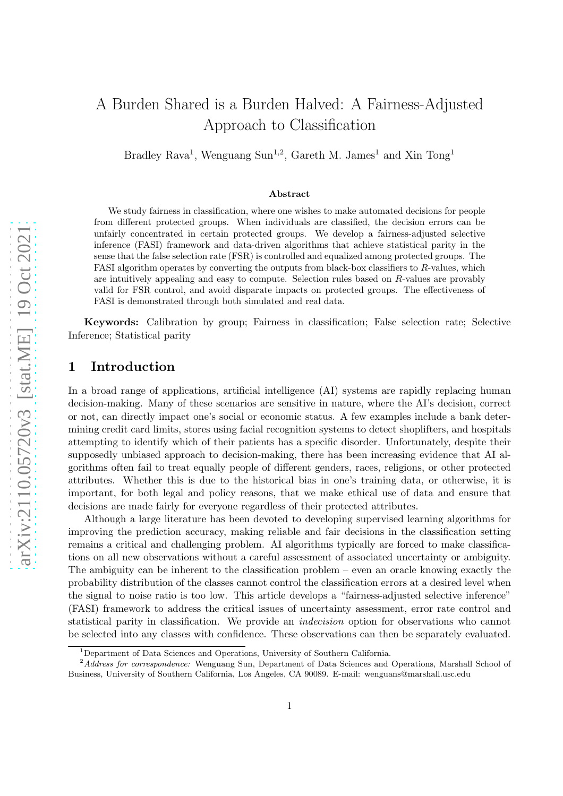# A Burden Shared is a Burden Halved: A Fairness-Adjusted Approach to Classification

Bradley Rava<sup>1</sup>, Wenguang Sun<sup>1,2</sup>, Gareth M. James<sup>1</sup> and Xin Tong<sup>1</sup>

#### Abstract

We study fairness in classification, where one wishes to make automated decisions for people from different protected groups. When individuals are classified, the decision errors can be unfairly concentrated in certain protected groups. We develop a fairness-adjusted selective inference (FASI) framework and data-driven algorithms that achieve statistical parity in the sense that the false selection rate (FSR) is controlled and equalized among protected groups. The FASI algorithm operates by converting the outputs from black-box classifiers to  $R$ -values, which are intuitively appealing and easy to compute. Selection rules based on R-values are provably valid for FSR control, and avoid disparate impacts on protected groups. The effectiveness of FASI is demonstrated through both simulated and real data.

Keywords: Calibration by group; Fairness in classification; False selection rate; Selective Inference; Statistical parity

### 1 Introduction

In a broad range of applications, artificial intelligence (AI) systems are rapidly replacing human decision-making. Many of these scenarios are sensitive in nature, where the AI's decision, correct or not, can directly impact one's social or economic status. A few examples include a bank determining credit card limits, stores using facial recognition systems to detect shoplifters, and hospitals attempting to identify which of their patients has a specific disorder. Unfortunately, despite their supposedly unbiased approach to decision-making, there has been increasing evidence that AI algorithms often fail to treat equally people of different genders, races, religions, or other protected attributes. Whether this is due to the historical bias in one's training data, or otherwise, it is important, for both legal and policy reasons, that we make ethical use of data and ensure that decisions are made fairly for everyone regardless of their protected attributes.

Although a large literature has been devoted to developing supervised learning algorithms for improving the prediction accuracy, making reliable and fair decisions in the classification setting remains a critical and challenging problem. AI algorithms typically are forced to make classifications on all new observations without a careful assessment of associated uncertainty or ambiguity. The ambiguity can be inherent to the classification problem – even an oracle knowing exactly the probability distribution of the classes cannot control the classification errors at a desired level when the signal to noise ratio is too low. This article develops a "fairness-adjusted selective inference" (FASI) framework to address the critical issues of uncertainty assessment, error rate control and statistical parity in classification. We provide an indecision option for observations who cannot be selected into any classes with confidence. These observations can then be separately evaluated.

<sup>&</sup>lt;sup>1</sup>Department of Data Sciences and Operations, University of Southern California.

<sup>&</sup>lt;sup>2</sup>Address for correspondence: Wenguang Sun, Department of Data Sciences and Operations, Marshall School of Business, University of Southern California, Los Angeles, CA 90089. E-mail: wenguans@marshall.usc.edu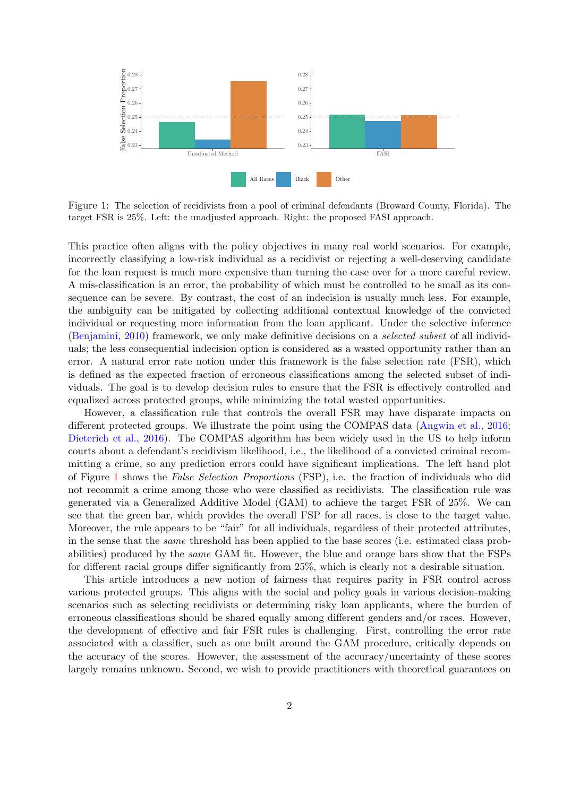<span id="page-1-0"></span>

Figure 1: The selection of recidivists from a pool of criminal defendants (Broward County, Florida). The target FSR is 25%. Left: the unadjusted approach. Right: the proposed FASI approach.

This practice often aligns with the policy objectives in many real world scenarios. For example, incorrectly classifying a low-risk individual as a recidivist or rejecting a well-deserving candidate for the loan request is much more expensive than turning the case over for a more careful review. A mis-classification is an error, the probability of which must be controlled to be small as its consequence can be severe. By contrast, the cost of an indecision is usually much less. For example, the ambiguity can be mitigated by collecting additional contextual knowledge of the convicted individual or requesting more information from the loan applicant. Under the selective inference [\(Benjamini, 2010](#page-17-0)) framework, we only make definitive decisions on a selected subset of all individuals; the less consequential indecision option is considered as a wasted opportunity rather than an error. A natural error rate notion under this framework is the false selection rate (FSR), which is defined as the expected fraction of erroneous classifications among the selected subset of individuals. The goal is to develop decision rules to ensure that the FSR is effectively controlled and equalized across protected groups, while minimizing the total wasted opportunities.

However, a classification rule that controls the overall FSR may have disparate impacts on different protected groups. We illustrate the point using the COMPAS data [\(Angwin et al., 2016;](#page-17-1) [Dieterich et al., 2016](#page-18-0)). The COMPAS algorithm has been widely used in the US to help inform courts about a defendant's recidivism likelihood, i.e., the likelihood of a convicted criminal recommitting a crime, so any prediction errors could have significant implications. The left hand plot of Figure [1](#page-1-0) shows the False Selection Proportions (FSP), i.e. the fraction of individuals who did not recommit a crime among those who were classified as recidivists. The classification rule was generated via a Generalized Additive Model (GAM) to achieve the target FSR of 25%. We can see that the green bar, which provides the overall FSP for all races, is close to the target value. Moreover, the rule appears to be "fair" for all individuals, regardless of their protected attributes, in the sense that the same threshold has been applied to the base scores (i.e. estimated class probabilities) produced by the same GAM fit. However, the blue and orange bars show that the FSPs for different racial groups differ significantly from 25%, which is clearly not a desirable situation.

This article introduces a new notion of fairness that requires parity in FSR control across various protected groups. This aligns with the social and policy goals in various decision-making scenarios such as selecting recidivists or determining risky loan applicants, where the burden of erroneous classifications should be shared equally among different genders and/or races. However, the development of effective and fair FSR rules is challenging. First, controlling the error rate associated with a classifier, such as one built around the GAM procedure, critically depends on the accuracy of the scores. However, the assessment of the accuracy/uncertainty of these scores largely remains unknown. Second, we wish to provide practitioners with theoretical guarantees on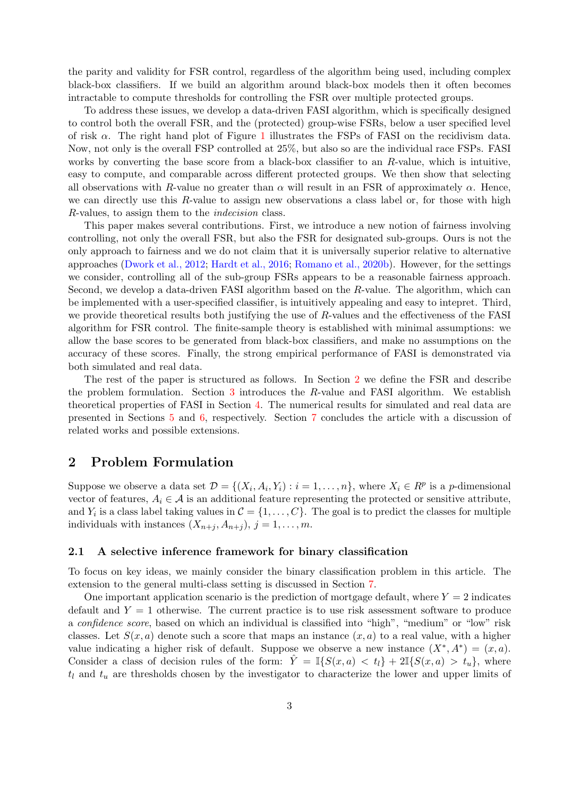the parity and validity for FSR control, regardless of the algorithm being used, including complex black-box classifiers. If we build an algorithm around black-box models then it often becomes intractable to compute thresholds for controlling the FSR over multiple protected groups.

To address these issues, we develop a data-driven FASI algorithm, which is specifically designed to control both the overall FSR, and the (protected) group-wise FSRs, below a user specified level of risk  $\alpha$ . The right hand plot of Figure [1](#page-1-0) illustrates the FSPs of FASI on the recidivism data. Now, not only is the overall FSP controlled at 25%, but also so are the individual race FSPs. FASI works by converting the base score from a black-box classifier to an R-value, which is intuitive, easy to compute, and comparable across different protected groups. We then show that selecting all observations with R-value no greater than  $\alpha$  will result in an FSR of approximately  $\alpha$ . Hence, we can directly use this R-value to assign new observations a class label or, for those with high R-values, to assign them to the indecision class.

This paper makes several contributions. First, we introduce a new notion of fairness involving controlling, not only the overall FSR, but also the FSR for designated sub-groups. Ours is not the only approach to fairness and we do not claim that it is universally superior relative to alternative approaches [\(Dwork et al., 2012;](#page-18-1) [Hardt et al., 2016](#page-18-2); [Romano et al., 2020b](#page-19-0)). However, for the settings we consider, controlling all of the sub-group FSRs appears to be a reasonable fairness approach. Second, we develop a data-driven FASI algorithm based on the R-value. The algorithm, which can be implemented with a user-specified classifier, is intuitively appealing and easy to intepret. Third, we provide theoretical results both justifying the use of R-values and the effectiveness of the FASI algorithm for FSR control. The finite-sample theory is established with minimal assumptions: we allow the base scores to be generated from black-box classifiers, and make no assumptions on the accuracy of these scores. Finally, the strong empirical performance of FASI is demonstrated via both simulated and real data.

The rest of the paper is structured as follows. In Section [2](#page-2-0) we define the FSR and describe the problem formulation. Section [3](#page-6-0) introduces the R-value and FASI algorithm. We establish theoretical properties of FASI in Section [4.](#page-9-0) The numerical results for simulated and real data are presented in Sections [5](#page-11-0) and [6,](#page-13-0) respectively. Section [7](#page-16-0) concludes the article with a discussion of related works and possible extensions.

### <span id="page-2-0"></span>2 Problem Formulation

Suppose we observe a data set  $\mathcal{D} = \{(X_i, A_i, Y_i) : i = 1, \ldots, n\}$ , where  $X_i \in \mathbb{R}^p$  is a p-dimensional vector of features,  $A_i \in \mathcal{A}$  is an additional feature representing the protected or sensitive attribute, and  $Y_i$  is a class label taking values in  $\mathcal{C} = \{1, \ldots, C\}$ . The goal is to predict the classes for multiple individuals with instances  $(X_{n+j}, A_{n+j}), j = 1, \ldots, m$ .

### 2.1 A selective inference framework for binary classification

To focus on key ideas, we mainly consider the binary classification problem in this article. The extension to the general multi-class setting is discussed in Section [7.](#page-16-0)

One important application scenario is the prediction of mortgage default, where  $Y = 2$  indicates default and  $Y = 1$  otherwise. The current practice is to use risk assessment software to produce a confidence score, based on which an individual is classified into "high", "medium" or "low" risk classes. Let  $S(x, a)$  denote such a score that maps an instance  $(x, a)$  to a real value, with a higher value indicating a higher risk of default. Suppose we observe a new instance  $(X^*, A^*) = (x, a)$ . Consider a class of decision rules of the form:  $\hat{Y} = \mathbb{I}{S(x, a) < t_l} + 2\mathbb{I}{S(x, a) > t_u}$ , where  $t_l$  and  $t_u$  are thresholds chosen by the investigator to characterize the lower and upper limits of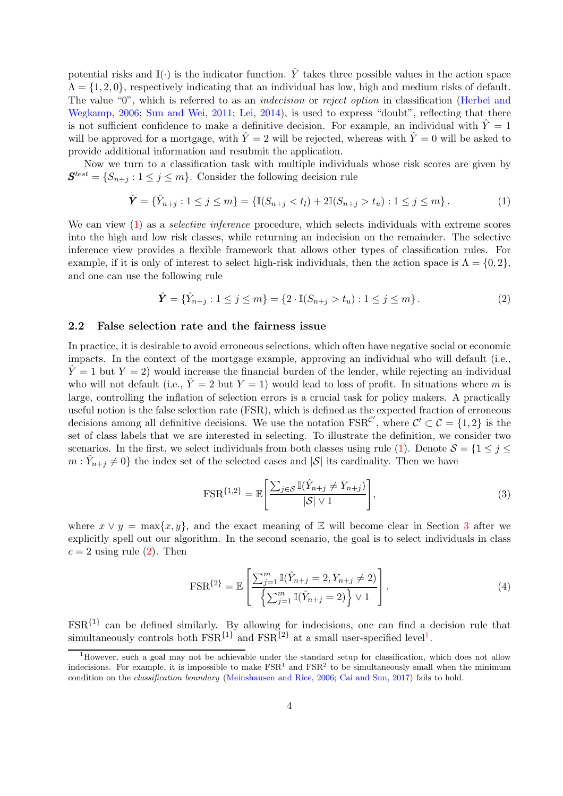potential risks and  $\mathbb{I}(\cdot)$  is the indicator function.  $\hat{Y}$  takes three possible values in the action space  $\Lambda = \{1, 2, 0\}$ , respectively indicating that an individual has low, high and medium risks of default. The value "0", [which is referred to as an](#page-18-3) *indecision* or *reject option* in classification (Herbei and Wegkamp, 2006; [Sun and Wei, 2011;](#page-19-1) [Lei, 2014\)](#page-19-2), is used to express "doubt", reflecting that there is not sufficient confidence to make a definitive decision. For example, an individual with  $\hat{Y}=1$ will be approved for a mortgage, with  $\hat{Y} = 2$  will be rejected, whereas with  $\hat{Y} = 0$  will be asked to provide additional information and resubmit the application.

Now we turn to a classification task with multiple individuals whose risk scores are given by  $\mathbf{S}^{test} = \{S_{n+j} : 1 \leq j \leq m\}$ . Consider the following decision rule

<span id="page-3-0"></span>
$$
\hat{\mathbf{Y}} = \{\hat{Y}_{n+j} : 1 \le j \le m\} = \{\mathbb{I}(S_{n+j} < t_l) + 2\mathbb{I}(S_{n+j} > t_u) : 1 \le j \le m\}.\tag{1}
$$

We can view [\(1\)](#page-3-0) as a *selective inference* procedure, which selects individuals with extreme scores into the high and low risk classes, while returning an indecision on the remainder. The selective inference view provides a flexible framework that allows other types of classification rules. For example, if it is only of interest to select high-risk individuals, then the action space is  $\Lambda = \{0, 2\}$ , and one can use the following rule

<span id="page-3-1"></span>
$$
\hat{\mathbf{Y}} = \{\hat{Y}_{n+j} : 1 \le j \le m\} = \{2 \cdot \mathbb{I}(S_{n+j} > t_u) : 1 \le j \le m\}.
$$
\n(2)

#### 2.2 False selection rate and the fairness issue

In practice, it is desirable to avoid erroneous selections, which often have negative social or economic impacts. In the context of the mortgage example, approving an individual who will default (i.e.,  $\hat{Y} = 1$  but  $Y = 2$ ) would increase the financial burden of the lender, while rejecting an individual who will not default (i.e.,  $\hat{Y} = 2$  but  $Y = 1$ ) would lead to loss of profit. In situations where m is large, controlling the inflation of selection errors is a crucial task for policy makers. A practically useful notion is the false selection rate (FSR), which is defined as the expected fraction of erroneous decisions among all definitive decisions. We use the notation  $\text{FSR}^{\mathcal{C}'}$ , where  $\mathcal{C}' \subset \mathcal{C} = \{1,2\}$  is the set of class labels that we are interested in selecting. To illustrate the definition, we consider two scenarios. In the first, we select individuals from both classes using rule [\(1\)](#page-3-0). Denote  $S = \{1 \leq j \leq \}$  $m: \hat{Y}_{n+j} \neq 0$  the index set of the selected cases and  $|S|$  its cardinality. Then we have

<span id="page-3-3"></span>
$$
\text{FSR}^{\{1,2\}} = \mathbb{E}\left[\frac{\sum_{j\in\mathcal{S}} \mathbb{I}(\hat{Y}_{n+j} \neq Y_{n+j})}{|\mathcal{S}| \vee 1}\right],\tag{3}
$$

where  $x \vee y = \max\{x, y\}$ , and the exact meaning of E will become clear in Section [3](#page-6-0) after we explicitly spell out our algorithm. In the second scenario, the goal is to select individuals in class  $c = 2$  using rule [\(2\)](#page-3-1). Then

<span id="page-3-4"></span>
$$
\text{FSR}^{\{2\}} = \mathbb{E}\left[\frac{\sum_{j=1}^{m} \mathbb{I}(\hat{Y}_{n+j} = 2, Y_{n+j} \neq 2)}{\left\{\sum_{j=1}^{m} \mathbb{I}(\hat{Y}_{n+j} = 2)\right\} \vee 1}\right].\tag{4}
$$

 $FSR<sup>{1}</sup>$  can be defined similarly. By allowing for indecisions, one can find a decision rule that simultaneously controls both  $\text{FSR}^{\{1\}}$  $\text{FSR}^{\{1\}}$  $\text{FSR}^{\{1\}}$  and  $\text{FSR}^{\{2\}}$  at a small user-specified level<sup>1</sup>.

<span id="page-3-2"></span><sup>&</sup>lt;sup>1</sup>However, such a goal may not be achievable under the standard setup for classification, which does not allow indecisions. For example, it is impossible to make  $\text{FSR}^1$  and  $\text{FSR}^2$  to be simultaneously small when the minimum condition on the classification boundary [\(Meinshausen and Rice, 2006](#page-19-3); [Cai and Sun, 2017](#page-18-4)) fails to hold.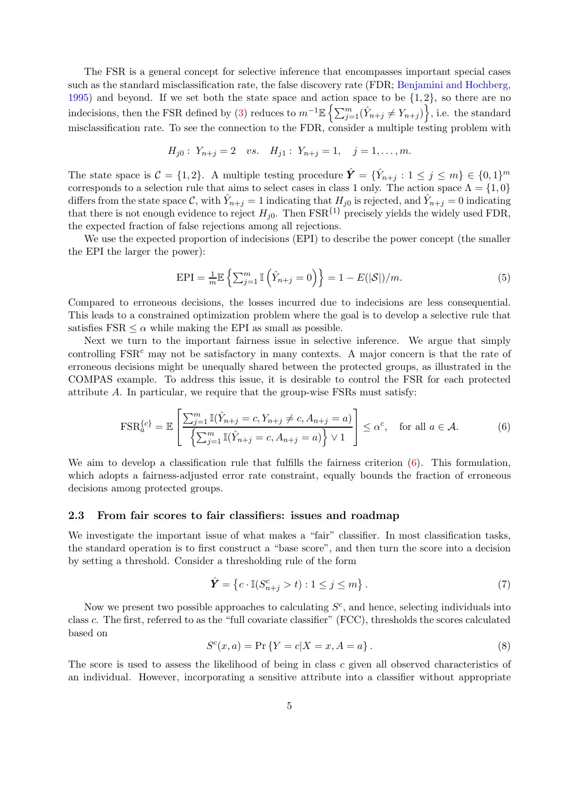The FSR is a general concept for selective inference that encompasses important special cases such [as the standard misclassification rate, the false discovery rate \(FDR;](#page-17-2) Benjamini and Hochberg, 1995) and beyond. If we set both the state space and action space to be  $\{1, 2\}$ , so there are no indecisions, then the FSR defined by [\(3\)](#page-3-3) reduces to  $m^{-1}\mathbb{E} \left\{ \sum_{j=1}^{m} (\hat{Y}_{n+j} \neq Y_{n+j}) \right\}$ , i.e. the standard misclassification rate. To see the connection to the FDR, consider a multiple testing problem with

$$
H_{j0}: Y_{n+j} = 2 \quad vs. \quad H_{j1}: Y_{n+j} = 1, \quad j = 1, \ldots, m.
$$

The state space is  $\mathcal{C} = \{1, 2\}$ . A multiple testing procedure  $\hat{\boldsymbol{Y}} = \{\hat{Y}_{n+j} : 1 \leq j \leq m\} \in \{0, 1\}^m$ corresponds to a selection rule that aims to select cases in class 1 only. The action space  $\Lambda = \{1,0\}$ differs from the state space C, with  $\hat{Y}_{n+j} = 1$  indicating that  $H_{j0}$  is rejected, and  $\hat{Y}_{n+j} = 0$  indicating that there is not enough evidence to reject  $H_{j0}$ . Then  $\text{FSR}^{\{1\}}$  precisely yields the widely used FDR, the expected fraction of false rejections among all rejections.

We use the expected proportion of indecisions (EPI) to describe the power concept (the smaller the EPI the larger the power):

<span id="page-4-3"></span>
$$
EPI = \frac{1}{m} \mathbb{E} \left\{ \sum_{j=1}^{m} \mathbb{I} \left( \hat{Y}_{n+j} = 0 \right) \right\} = 1 - E(|\mathcal{S}|)/m. \tag{5}
$$

Compared to erroneous decisions, the losses incurred due to indecisions are less consequential. This leads to a constrained optimization problem where the goal is to develop a selective rule that satisfies  $FSR < \alpha$  while making the EPI as small as possible.

Next we turn to the important fairness issue in selective inference. We argue that simply controlling  $FSR<sup>c</sup>$  may not be satisfactory in many contexts. A major concern is that the rate of erroneous decisions might be unequally shared between the protected groups, as illustrated in the COMPAS example. To address this issue, it is desirable to control the FSR for each protected attribute A. In particular, we require that the group-wise FSRs must satisfy:

<span id="page-4-0"></span>
$$
\text{FSR}_a^{\{c\}} = \mathbb{E}\left[\frac{\sum_{j=1}^m \mathbb{I}(\hat{Y}_{n+j} = c, Y_{n+j} \neq c, A_{n+j} = a)}{\left\{\sum_{j=1}^m \mathbb{I}(\hat{Y}_{n+j} = c, A_{n+j} = a)\right\} \vee 1}\right] \leq \alpha^c, \text{ for all } a \in \mathcal{A}.
$$
 (6)

We aim to develop a classification rule that fulfills the fairness criterion  $(6)$ . This formulation, which adopts a fairness-adjusted error rate constraint, equally bounds the fraction of erroneous decisions among protected groups.

### 2.3 From fair scores to fair classifiers: issues and roadmap

We investigate the important issue of what makes a "fair" classifier. In most classification tasks, the standard operation is to first construct a "base score", and then turn the score into a decision by setting a threshold. Consider a thresholding rule of the form

<span id="page-4-2"></span>
$$
\hat{\mathbf{Y}} = \left\{ c \cdot \mathbb{I}(S_{n+j}^c > t) : 1 \le j \le m \right\}.
$$
\n
$$
(7)
$$

Now we present two possible approaches to calculating  $S<sup>c</sup>$ , and hence, selecting individuals into class c. The first, referred to as the "full covariate classifier" (FCC), thresholds the scores calculated based on

<span id="page-4-1"></span>
$$
S^{c}(x, a) = \Pr\{Y = c | X = x, A = a\}.
$$
\n(8)

The score is used to assess the likelihood of being in class c given all observed characteristics of an individual. However, incorporating a sensitive attribute into a classifier without appropriate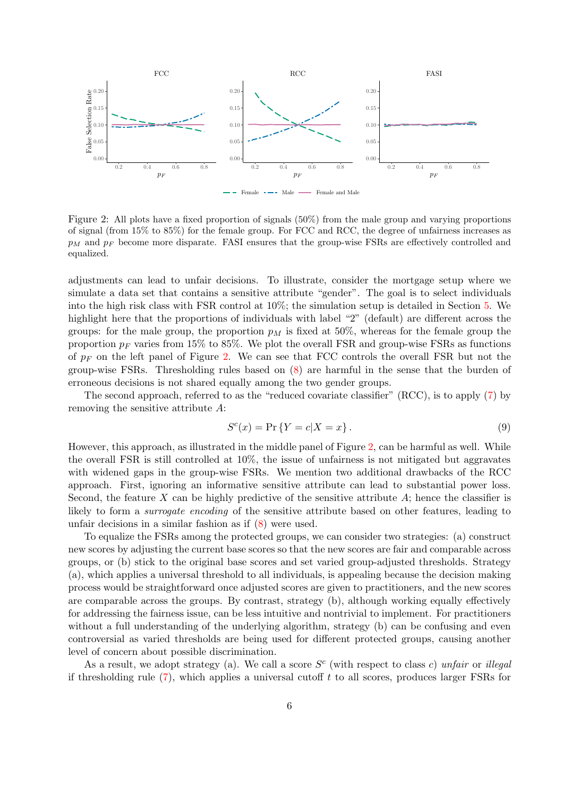<span id="page-5-0"></span>

Figure 2: All plots have a fixed proportion of signals (50%) from the male group and varying proportions of signal (from 15% to 85%) for the female group. For FCC and RCC, the degree of unfairness increases as  $p_M$  and  $p_F$  become more disparate. FASI ensures that the group-wise FSRs are effectively controlled and equalized.

adjustments can lead to unfair decisions. To illustrate, consider the mortgage setup where we simulate a data set that contains a sensitive attribute "gender". The goal is to select individuals into the high risk class with FSR control at 10%; the simulation setup is detailed in Section [5.](#page-11-0) We highlight here that the proportions of individuals with label "2" (default) are different across the groups: for the male group, the proportion  $p<sub>M</sub>$  is fixed at 50%, whereas for the female group the proportion  $p_F$  varies from 15% to 85%. We plot the overall FSR and group-wise FSRs as functions of  $p_F$  on the left panel of Figure [2.](#page-5-0) We can see that FCC controls the overall FSR but not the group-wise FSRs. Thresholding rules based on [\(8\)](#page-4-1) are harmful in the sense that the burden of erroneous decisions is not shared equally among the two gender groups.

The second approach, referred to as the "reduced covariate classifier" (RCC), is to apply [\(7\)](#page-4-2) by removing the sensitive attribute A:

<span id="page-5-1"></span>
$$
S^{c}(x) = \Pr\left\{Y = c | X = x\right\}.
$$
\n
$$
(9)
$$

However, this approach, as illustrated in the middle panel of Figure [2,](#page-5-0) can be harmful as well. While the overall FSR is still controlled at 10%, the issue of unfairness is not mitigated but aggravates with widened gaps in the group-wise FSRs. We mention two additional drawbacks of the RCC approach. First, ignoring an informative sensitive attribute can lead to substantial power loss. Second, the feature X can be highly predictive of the sensitive attribute  $A$ ; hence the classifier is likely to form a *surrogate encoding* of the sensitive attribute based on other features, leading to unfair decisions in a similar fashion as if [\(8\)](#page-4-1) were used.

To equalize the FSRs among the protected groups, we can consider two strategies: (a) construct new scores by adjusting the current base scores so that the new scores are fair and comparable across groups, or (b) stick to the original base scores and set varied group-adjusted thresholds. Strategy (a), which applies a universal threshold to all individuals, is appealing because the decision making process would be straightforward once adjusted scores are given to practitioners, and the new scores are comparable across the groups. By contrast, strategy (b), although working equally effectively for addressing the fairness issue, can be less intuitive and nontrivial to implement. For practitioners without a full understanding of the underlying algorithm, strategy (b) can be confusing and even controversial as varied thresholds are being used for different protected groups, causing another level of concern about possible discrimination.

As a result, we adopt strategy (a). We call a score  $S<sup>c</sup>$  (with respect to class c) unfair or illegal if thresholding rule  $(7)$ , which applies a universal cutoff t to all scores, produces larger FSRs for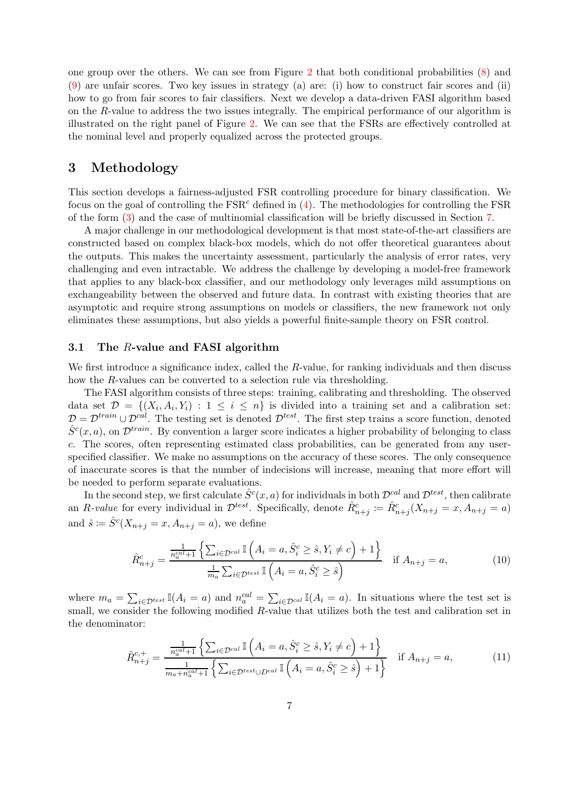one group over the others. We can see from Figure [2](#page-5-0) that both conditional probabilities [\(8\)](#page-4-1) and [\(9\)](#page-5-1) are unfair scores. Two key issues in strategy (a) are: (i) how to construct fair scores and (ii) how to go from fair scores to fair classifiers. Next we develop a data-driven FASI algorithm based on the R-value to address the two issues integrally. The empirical performance of our algorithm is illustrated on the right panel of Figure [2.](#page-5-0) We can see that the FSRs are effectively controlled at the nominal level and properly equalized across the protected groups.

### <span id="page-6-0"></span>3 Methodology

This section develops a fairness-adjusted FSR controlling procedure for binary classification. We focus on the goal of controlling the  $FSR<sup>c</sup>$  defined in [\(4\)](#page-3-4). The methodologies for controlling the FSR of the form [\(3\)](#page-3-3) and the case of multinomial classification will be briefly discussed in Section [7.](#page-16-0)

A major challenge in our methodological development is that most state-of-the-art classifiers are constructed based on complex black-box models, which do not offer theoretical guarantees about the outputs. This makes the uncertainty assessment, particularly the analysis of error rates, very challenging and even intractable. We address the challenge by developing a model-free framework that applies to any black-box classifier, and our methodology only leverages mild assumptions on exchangeability between the observed and future data. In contrast with existing theories that are asymptotic and require strong assumptions on models or classifiers, the new framework not only eliminates these assumptions, but also yields a powerful finite-sample theory on FSR control.

### <span id="page-6-3"></span>3.1 The R-value and FASI algorithm

We first introduce a significance index, called the R-value, for ranking individuals and then discuss how the R-values can be converted to a selection rule via thresholding.

The FASI algorithm consists of three steps: training, calibrating and thresholding. The observed data set  $\mathcal{D} = \{(X_i, A_i, Y_i) : 1 \leq i \leq n\}$  is divided into a training set and a calibration set:  $\mathcal{D} = \mathcal{D}^{train} \cup \mathcal{D}^{cal}$ . The testing set is denoted  $\mathcal{D}^{test}$ . The first step trains a score function, denoted  $\hat{S}^c(x,a)$ , on  $\mathcal{D}^{train}$ . By convention a larger score indicates a higher probability of belonging to class c. The scores, often representing estimated class probabilities, can be generated from any userspecified classifier. We make no assumptions on the accuracy of these scores. The only consequence of inaccurate scores is that the number of indecisions will increase, meaning that more effort will be needed to perform separate evaluations.

In the second step, we first calculate  $\hat{S}^c(x,a)$  for individuals in both  $\mathcal{D}^{cal}$  and  $\mathcal{D}^{test}$ , then calibrate an R-value for every individual in  $\mathcal{D}^{test}$ . Specifically, denote  $\hat{R}_{n+j}^c := \hat{R}_{n+j}^c (X_{n+j} = x, A_{n+j} = a)$ and  $\hat{s} \coloneqq \hat{S}^c(X_{n+j} = x, A_{n+j} = a)$ , we define

<span id="page-6-2"></span>
$$
\hat{R}_{n+j}^c = \frac{\frac{1}{n_a^{cal}+1} \left\{ \sum_{i \in \mathcal{D}^{cal}} \mathbb{I} \left( A_i = a, \hat{S}_i^c \ge \hat{s}, Y_i \ne c \right) + 1 \right\}}{\frac{1}{m_a} \sum_{i \in \mathcal{D}^{test}} \mathbb{I} \left( A_i = a, \hat{S}_i^c \ge \hat{s} \right)} \quad \text{if } A_{n+j} = a,
$$
\n(10)

where  $m_a = \sum_{i \in \mathcal{D}^{test}} \mathbb{I}(A_i = a)$  and  $n_a^{cal} = \sum_{i \in \mathcal{D}^{cal}} \mathbb{I}(A_i = a)$ . In situations where the test set is small, we consider the following modified R-value that utilizes both the test and calibration set in the denominator:

<span id="page-6-1"></span>
$$
\hat{R}_{n+j}^{c,+} = \frac{\frac{1}{n_c^{cal}+1} \left\{ \sum_{i \in \mathcal{D}^{cal}} \mathbb{I} \left( A_i = a, \hat{S}_i^c \ge \hat{s}, Y_i \ne c \right) + 1 \right\}}{\frac{1}{m_a + n_c^{cal}+1} \left\{ \sum_{i \in \mathcal{D}^{test} \cup D^{cal}} \mathbb{I} \left( A_i = a, \hat{S}_i^c \ge \hat{s} \right) + 1 \right\}} \quad \text{if } A_{n+j} = a,
$$
\n(11)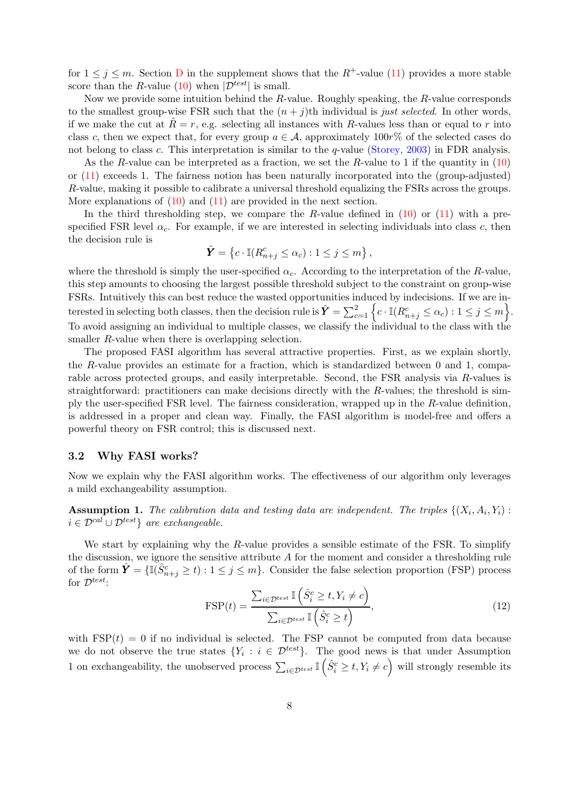for  $1 \leq j \leq m$ . Section [D](#page-29-0) in the supplement shows that the  $R^+$ -value [\(11\)](#page-6-1) provides a more stable score than the R-value [\(10\)](#page-6-2) when  $|\mathcal{D}^{test}|$  is small.

Now we provide some intuition behind the R-value. Roughly speaking, the R-value corresponds to the smallest group-wise FSR such that the  $(n + j)$ th individual is just selected. In other words, if we make the cut at  $R = r$ , e.g. selecting all instances with R-values less than or equal to r into class c, then we expect that, for every group  $a \in \mathcal{A}$ , approximately 100r% of the selected cases do not belong to class c. This interpretation is similar to the q-value [\(Storey, 2003](#page-19-4)) in FDR analysis.

As the R-value can be interpreted as a fraction, we set the R-value to 1 if the quantity in  $(10)$ or [\(11\)](#page-6-1) exceeds 1. The fairness notion has been naturally incorporated into the (group-adjusted) R-value, making it possible to calibrate a universal threshold equalizing the FSRs across the groups. More explanations of  $(10)$  and  $(11)$  are provided in the next section.

In the third thresholding step, we compare the R-value defined in  $(10)$  or  $(11)$  with a prespecified FSR level  $\alpha_c$ . For example, if we are interested in selecting individuals into class c, then the decision rule is

$$
\hat{\mathbf{Y}} = \left\{ c \cdot \mathbb{I}(R_{n+j}^c \le \alpha_c) : 1 \le j \le m \right\},\
$$

where the threshold is simply the user-specified  $\alpha_c$ . According to the interpretation of the R-value, this step amounts to choosing the largest possible threshold subject to the constraint on group-wise FSRs. Intuitively this can best reduce the wasted opportunities induced by indecisions. If we are interested in selecting both classes, then the decision rule is  $\hat{Y} = \sum_{c=1}^{2} \left\{ c \cdot \mathbb{I}(R_{n+j}^{c} \leq \alpha_c) : 1 \leq j \leq m \right\}.$ To avoid assigning an individual to multiple classes, we classify the individual to the class with the smaller R-value when there is overlapping selection.

The proposed FASI algorithm has several attractive properties. First, as we explain shortly, the R-value provides an estimate for a fraction, which is standardized between 0 and 1, comparable across protected groups, and easily interpretable. Second, the FSR analysis via R-values is straightforward: practitioners can make decisions directly with the  $R$ -values; the threshold is simply the user-specified FSR level. The fairness consideration, wrapped up in the R-value definition, is addressed in a proper and clean way. Finally, the FASI algorithm is model-free and offers a powerful theory on FSR control; this is discussed next.

### 3.2 Why FASI works?

Now we explain why the FASI algorithm works. The effectiveness of our algorithm only leverages a mild exchangeability assumption.

<span id="page-7-1"></span>**Assumption 1.** The calibration data and testing data are independent. The triples  $\{(X_i, A_i, Y_i):$  $i \in \mathcal{D}^{cal} \cup \mathcal{D}^{test}$  are exchangeable.

We start by explaining why the R-value provides a sensible estimate of the FSR. To simplify the discussion, we ignore the sensitive attribute  $A$  for the moment and consider a thresholding rule of the form  $\hat{\bm{Y}} = \{\mathbb{I}(\hat{S}_{n+j}^c \ge t) : 1 \le j \le m\}$ . Consider the false selection proportion (FSP) process for  $\mathcal{D}^{test}$ :

<span id="page-7-0"></span>
$$
\text{FSP}(t) = \frac{\sum_{i \in \mathcal{D}^{test}} \mathbb{I}\left(\hat{S}_i^c \ge t, Y_i \ne c\right)}{\sum_{i \in \mathcal{D}^{test}} \mathbb{I}\left(\hat{S}_i^c \ge t\right)},\tag{12}
$$

with  $\text{FSP}(t) = 0$  if no individual is selected. The FSP cannot be computed from data because we do not observe the true states  $\{Y_i : i \in \mathcal{D}^{test}\}\$ . The good news is that under Assumption 1 on exchangeability, the unobserved process  $\sum_{i \in \mathcal{D}^{test}} \mathbb{I} \left( \hat{S}_i^c \geq t, Y_i \neq c \right)$  will strongly resemble its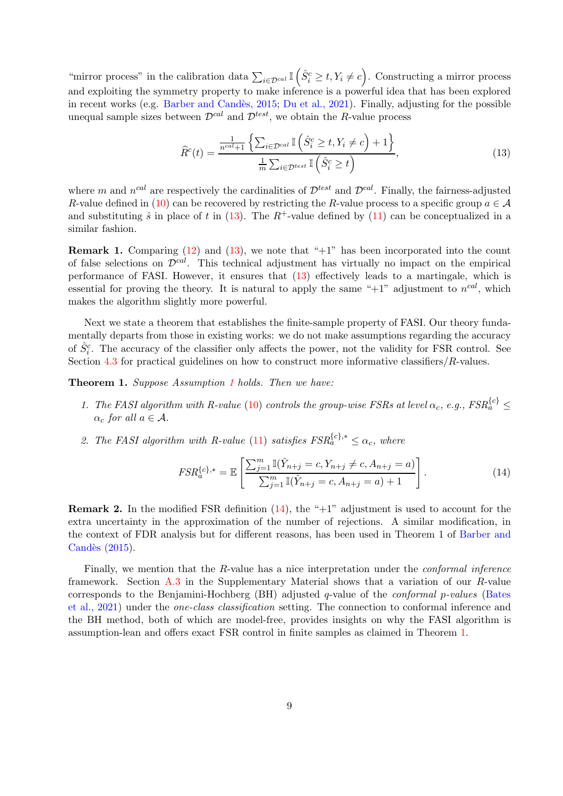"mirror process" in the calibration data  $\sum_{i\in \mathcal{D}^{cal}} \mathbb{I} \left( \hat{S}_i^c \geq t, Y_i \neq c \right)$ . Constructing a mirror process and exploiting the symmetry property to make inference is a powerful idea that has been explored in recent works (e.g. Barber and Candès, 2015; [Du et al., 2021](#page-18-5)). Finally, adjusting for the possible unequal sample sizes between  $\mathcal{D}^{cal}$  and  $\mathcal{D}^{test}$ , we obtain the R-value process

<span id="page-8-0"></span>
$$
\widehat{R}^{c}(t) = \frac{\frac{1}{n^{cal}+1} \left\{ \sum_{i \in \mathcal{D}^{cal}} \mathbb{I} \left( \widehat{S}_{i}^{c} \ge t, Y_{i} \ne c \right) + 1 \right\}}{\frac{1}{m} \sum_{i \in \mathcal{D}^{test}} \mathbb{I} \left( \widehat{S}_{i}^{c} \ge t \right)},\tag{13}
$$

where m and  $n^{cal}$  are respectively the cardinalities of  $\mathcal{D}^{test}$  and  $\mathcal{D}^{cal}$ . Finally, the fairness-adjusted R-value defined in [\(10\)](#page-6-2) can be recovered by restricting the R-value process to a specific group  $a \in \mathcal{A}$ and substituting  $\hat{s}$  in place of t in [\(13\)](#page-8-0). The  $R^+$ -value defined by [\(11\)](#page-6-1) can be conceptualized in a similar fashion.

**Remark 1.** Comparing  $(12)$  and  $(13)$ , we note that "+1" has been incorporated into the count of false selections on  $\mathcal{D}^{cal}$ . This technical adjustment has virtually no impact on the empirical performance of FASI. However, it ensures that [\(13\)](#page-8-0) effectively leads to a martingale, which is essential for proving the theory. It is natural to apply the same " $+1$ " adjustment to  $n^{cal}$ , which makes the algorithm slightly more powerful.

Next we state a theorem that establishes the finite-sample property of FASI. Our theory fundamentally departs from those in existing works: we do not make assumptions regarding the accuracy of  $\hat{S}_i^c$ . The accuracy of the classifier only affects the power, not the validity for FSR control. See Section [4.3](#page-10-0) for practical guidelines on how to construct more informative classifiers/R-values.

<span id="page-8-2"></span>Theorem [1](#page-7-1). Suppose Assumption 1 holds. Then we have:

- 1. The FASI algorithm with R-value [\(10\)](#page-6-2) controls the group-wise FSRs at level  $\alpha_c$ , e.g.,  $FSR_a^{\{c\}}$   $\leq$  $\alpha_c$  for all  $a \in \mathcal{A}$ .
- 2. The FASI algorithm with R-value [\(11\)](#page-6-1) satisfies  $FSR_a^{\{c\},*} \leq \alpha_c$ , where

<span id="page-8-1"></span>
$$
FSR_a^{\{c\},*} = \mathbb{E}\left[\frac{\sum_{j=1}^m \mathbb{I}(\hat{Y}_{n+j} = c, Y_{n+j} \neq c, A_{n+j} = a)}{\sum_{j=1}^m \mathbb{I}(\hat{Y}_{n+j} = c, A_{n+j} = a) + 1}\right].
$$
\n(14)

**Remark 2.** In the modified FSR definition  $(14)$ , the " $+1$ " adjustment is used to account for the extra uncertainty in the approximation of the number of rejections. A similar modification, in the context o[f FDR analysis but for different reasons, has been](#page-17-3) used in Theorem 1 of Barber and Candès  $(2015)$ .

Finally, we mention that the R-value has a nice interpretation under the conformal inference framework. Section [A.3](#page-21-0) in the Supplementary Material shows that a variation of our R-value correspond[s to the Benjamini-Hochberg \(BH\) adjusted](#page-17-4) q-value of the conformal p-values (Bates et al., 2021) under the one-class classification setting. The connection to conformal inference and the BH method, both of which are model-free, provides insights on why the FASI algorithm is assumption-lean and offers exact FSR control in finite samples as claimed in Theorem [1.](#page-8-2)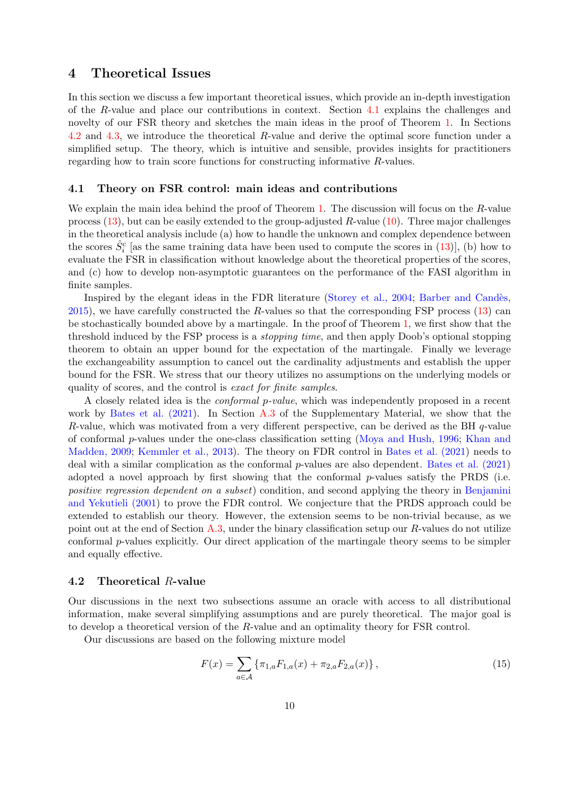### <span id="page-9-0"></span>4 Theoretical Issues

In this section we discuss a few important theoretical issues, which provide an in-depth investigation of the R-value and place our contributions in context. Section [4.1](#page-9-1) explains the challenges and novelty of our FSR theory and sketches the main ideas in the proof of Theorem [1.](#page-8-2) In Sections [4.2](#page-9-2) and [4.3,](#page-10-0) we introduce the theoretical R-value and derive the optimal score function under a simplified setup. The theory, which is intuitive and sensible, provides insights for practitioners regarding how to train score functions for constructing informative R-values.

### <span id="page-9-1"></span>4.1 Theory on FSR control: main ideas and contributions

We explain the main idea behind the proof of Theorem [1.](#page-8-2) The discussion will focus on the R-value process  $(13)$ , but can be easily extended to the group-adjusted R-value  $(10)$ . Three major challenges in the theoretical analysis include (a) how to handle the unknown and complex dependence between the scores  $\hat{S}_i^c$  [as the same training data have been used to compute the scores in [\(13\)](#page-8-0)], (b) how to evaluate the FSR in classification without knowledge about the theoretical properties of the scores, and (c) how to develop non-asymptotic guarantees on the performance of the FASI algorithm in finite samples.

I[nspired by the elegant ideas in the FDR literature](#page-17-3) [\(Storey et al., 2004;](#page-19-5) Barber and Candès,  $2015$ , we have carefully constructed the R-values so that the corresponding FSP process [\(13\)](#page-8-0) can be stochastically bounded above by a martingale. In the proof of Theorem [1,](#page-8-2) we first show that the threshold induced by the FSP process is a stopping time, and then apply Doob's optional stopping theorem to obtain an upper bound for the expectation of the martingale. Finally we leverage the exchangeability assumption to cancel out the cardinality adjustments and establish the upper bound for the FSR. We stress that our theory utilizes no assumptions on the underlying models or quality of scores, and the control is exact for finite samples.

A closely related idea is the conformal p-value, which was independently proposed in a recent work by [Bates et al. \(2021\)](#page-17-4). In Section [A.3](#page-21-0) of the Supplementary Material, we show that the R-value, which was motivated from a very different perspective, can be derived as the BH  $q$ -value of conformal p[-values under the one-class classification setting](#page-19-7) [\(Moya and Hush, 1996](#page-19-6)[;](#page-19-7) Khan and Madden, 2009; [Kemmler et al., 2013](#page-19-8)). The theory on FDR control in [Bates et al. \(2021](#page-17-4)) needs to deal with a similar complication as the conformal p-values are also dependent. [Bates et al. \(2021](#page-17-4)) adopted a novel approach by first showing that the conformal  $p$ -values satisfy the PRDS (i.e. positive regression dependent on a subset[\) condition, and second applying the theory in](#page-18-6) Benjamini and Yekutieli (2001) to prove the FDR control. We conjecture that the PRDS approach could be extended to establish our theory. However, the extension seems to be non-trivial because, as we point out at the end of Section [A.3,](#page-21-0) under the binary classification setup our R-values do not utilize conformal p-values explicitly. Our direct application of the martingale theory seems to be simpler and equally effective.

### <span id="page-9-2"></span>4.2 Theoretical R-value

Our discussions in the next two subsections assume an oracle with access to all distributional information, make several simplifying assumptions and are purely theoretical. The major goal is to develop a theoretical version of the R-value and an optimality theory for FSR control.

Our discussions are based on the following mixture model

<span id="page-9-3"></span>
$$
F(x) = \sum_{a \in \mathcal{A}} \{ \pi_{1,a} F_{1,a}(x) + \pi_{2,a} F_{2,a}(x) \},\tag{15}
$$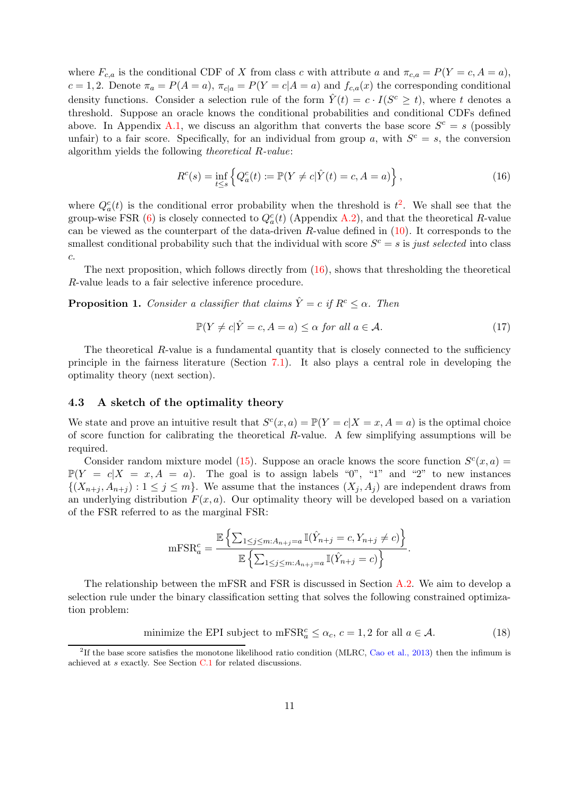where  $F_{c,a}$  is the conditional CDF of X from class c with attribute a and  $\pi_{c,a} = P(Y = c, A = a)$ ,  $c = 1, 2$ . Denote  $\pi_a = P(A = a)$ ,  $\pi_{c|a} = P(Y = c | A = a)$  and  $f_{c,a}(x)$  the corresponding conditional density functions. Consider a selection rule of the form  $\hat{Y}(t) = c \cdot I(S^c \ge t)$ , where t denotes a threshold. Suppose an oracle knows the conditional probabilities and conditional CDFs defined above. In Appendix [A.1,](#page-20-0) we discuss an algorithm that converts the base score  $S^c = s$  (possibly unfair) to a fair score. Specifically, for an individual from group a, with  $S<sup>c</sup> = s$ , the conversion algorithm yields the following theoretical R-value:

<span id="page-10-2"></span>
$$
R^{c}(s) = \inf_{t \le s} \left\{ Q_{a}^{c}(t) := \mathbb{P}(Y \ne c | \hat{Y}(t) = c, A = a) \right\},
$$
\n(16)

where  $Q_a^c(t)$  is the conditional error probability when the threshold is  $t^2$  $t^2$ . We shall see that the group-wise FSR [\(6\)](#page-4-0) is closely connected to  $Q_a^c(t)$  (Appendix [A.2\)](#page-20-1), and that the theoretical R-value can be viewed as the counterpart of the data-driven  $R$ -value defined in  $(10)$ . It corresponds to the smallest conditional probability such that the individual with score  $S<sup>c</sup> = s$  is just selected into class c.

The next proposition, which follows directly from  $(16)$ , shows that thresholding the theoretical R-value leads to a fair selective inference procedure.

<span id="page-10-3"></span>**Proposition 1.** Consider a classifier that claims  $\hat{Y} = c$  if  $R^c \leq \alpha$ . Then

<span id="page-10-4"></span>
$$
\mathbb{P}(Y \neq c | \hat{Y} = c, A = a) \leq \alpha \text{ for all } a \in \mathcal{A}.
$$
 (17)

The theoretical R-value is a fundamental quantity that is closely connected to the sufficiency principle in the fairness literature (Section [7.1\)](#page-16-1). It also plays a central role in developing the optimality theory (next section).

#### <span id="page-10-0"></span>4.3 A sketch of the optimality theory

We state and prove an intuitive result that  $S<sup>c</sup>(x, a) = \mathbb{P}(Y = c | X = x, A = a)$  is the optimal choice of score function for calibrating the theoretical R-value. A few simplifying assumptions will be required.

Consider random mixture model [\(15\)](#page-9-3). Suppose an oracle knows the score function  $S<sup>c</sup>(x, a)$  =  $\mathbb{P}(Y = c | X = x, A = a)$ . The goal is to assign labels "0", "1" and "2" to new instances  $\{(X_{n+i}, A_{n+i}) : 1 \leq j \leq m\}$ . We assume that the instances  $(X_i, A_j)$  are independent draws from an underlying distribution  $F(x, a)$ . Our optimality theory will be developed based on a variation of the FSR referred to as the marginal FSR:

$$
\mathrm{mFSR}_a^c = \frac{\mathbb{E}\left\{\sum_{1\leq j\leq m:A_{n+j}=a}\mathbb{I}(\hat{Y}_{n+j}=c,Y_{n+j}\neq c)\right\}}{\mathbb{E}\left\{\sum_{1\leq j\leq m:A_{n+j}=a}\mathbb{I}(\hat{Y}_{n+j}=c)\right\}}.
$$

The relationship between the mFSR and FSR is discussed in Section [A.2.](#page-20-1) We aim to develop a selection rule under the binary classification setting that solves the following constrained optimization problem:

minimize the EPI subject to  $mFSR_a^c \leq \alpha_c$ ,  $c = 1, 2$  for all  $a \in \mathcal{A}$ . (18)

<span id="page-10-1"></span><sup>&</sup>lt;sup>2</sup>If the base score satisfies the monotone likelihood ratio condition (MLRC, [Cao et al., 2013\)](#page-18-7) then the infimum is achieved at s exactly. See Section [C.1](#page-27-0) for related discussions.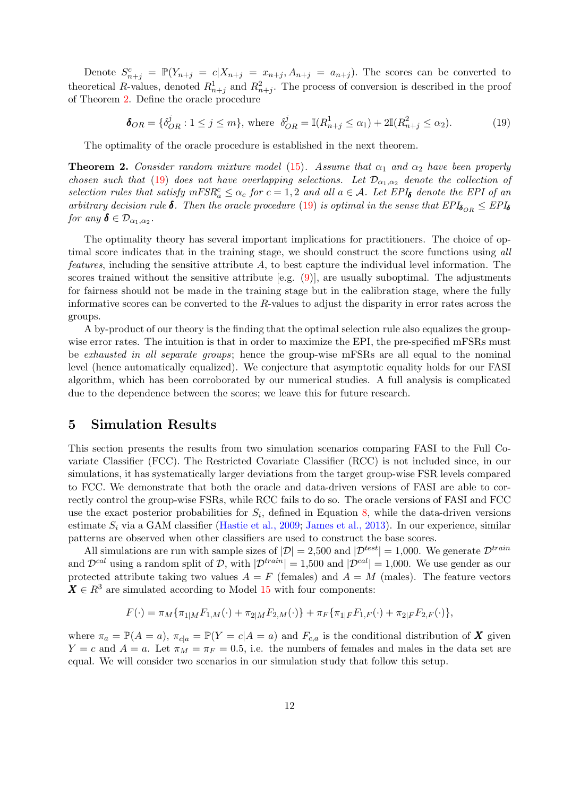Denote  $S_{n+j}^c = \mathbb{P}(Y_{n+j} = c | X_{n+j} = x_{n+j}, A_{n+j} = a_{n+j})$ . The scores can be converted to theoretical R-values, denoted  $R_{n+j}^1$  and  $R_{n+j}^2$ . The process of conversion is described in the proof of Theorem [2.](#page-11-1) Define the oracle procedure

<span id="page-11-2"></span>
$$
\mathbf{\delta}_{OR} = \{ \delta_{OR}^j : 1 \le j \le m \}, \text{ where } \delta_{OR}^j = \mathbb{I}(R_{n+j}^1 \le \alpha_1) + 2\mathbb{I}(R_{n+j}^2 \le \alpha_2). \tag{19}
$$

The optimality of the oracle procedure is established in the next theorem.

<span id="page-11-1"></span>**Theorem 2.** Consider random mixture model [\(15\)](#page-9-3). Assume that  $\alpha_1$  and  $\alpha_2$  have been properly chosen such that [\(19\)](#page-11-2) does not have overlapping selections. Let  $\mathcal{D}_{\alpha_1,\alpha_2}$  denote the collection of selection rules that satisfy  $mFSR_a^c \leq \alpha_c$  for  $c = 1, 2$  and all  $a \in \mathcal{A}$ . Let  $EPI_{\delta}$  denote the EPI of an arbitrary decision rule  $\delta$ . Then the oracle procedure [\(19\)](#page-11-2) is optimal in the sense that  $EPI_{\delta_{OR}} \leq EPI_{\delta}$ for any  $\boldsymbol{\delta} \in \mathcal{D}_{\alpha_1,\alpha_2}$ .

The optimality theory has several important implications for practitioners. The choice of optimal score indicates that in the training stage, we should construct the score functions using all *features*, including the sensitive attribute  $A$ , to best capture the individual level information. The scores trained without the sensitive attribute [e.g.  $(9)$ ], are usually suboptimal. The adjustments for fairness should not be made in the training stage but in the calibration stage, where the fully informative scores can be converted to the  $R$ -values to adjust the disparity in error rates across the groups.

A by-product of our theory is the finding that the optimal selection rule also equalizes the groupwise error rates. The intuition is that in order to maximize the EPI, the pre-specified mFSRs must be exhausted in all separate groups; hence the group-wise mFSRs are all equal to the nominal level (hence automatically equalized). We conjecture that asymptotic equality holds for our FASI algorithm, which has been corroborated by our numerical studies. A full analysis is complicated due to the dependence between the scores; we leave this for future research.

### <span id="page-11-0"></span>5 Simulation Results

This section presents the results from two simulation scenarios comparing FASI to the Full Covariate Classifier (FCC). The Restricted Covariate Classifier (RCC) is not included since, in our simulations, it has systematically larger deviations from the target group-wise FSR levels compared to FCC. We demonstrate that both the oracle and data-driven versions of FASI are able to correctly control the group-wise FSRs, while RCC fails to do so. The oracle versions of FASI and FCC use the exact posterior probabilities for  $S_i$ , defined in Equation [8,](#page-4-1) while the data-driven versions estimate  $S_i$  via a GAM classifier [\(Hastie et al., 2009;](#page-18-8) [James et al., 2013](#page-19-9)). In our experience, similar patterns are observed when other classifiers are used to construct the base scores.

All simulations are run with sample sizes of  $|\mathcal{D}| = 2,500$  and  $|\mathcal{D}^{test}| = 1,000$ . We generate  $\mathcal{D}^{train}$ and  $\mathcal{D}^{cal}$  using a random split of D, with  $|\mathcal{D}^{train}| = 1,500$  and  $|\mathcal{D}^{cal}| = 1,000$ . We use gender as our protected attribute taking two values  $A = F$  (females) and  $A = M$  (males). The feature vectors  $X \in \mathbb{R}^3$  are simulated according to Model [15](#page-9-3) with four components:

$$
F(\cdot) = \pi_M \{ \pi_{1|M} F_{1,M}(\cdot) + \pi_{2|M} F_{2,M}(\cdot) \} + \pi_F \{ \pi_{1|F} F_{1,F}(\cdot) + \pi_{2|F} F_{2,F}(\cdot) \},
$$

where  $\pi_a = \mathbb{P}(A = a)$ ,  $\pi_{c|a} = \mathbb{P}(Y = c | A = a)$  and  $F_{c,a}$  is the conditional distribution of X given  $Y = c$  and  $A = a$ . Let  $\pi_M = \pi_F = 0.5$ , i.e. the numbers of females and males in the data set are equal. We will consider two scenarios in our simulation study that follow this setup.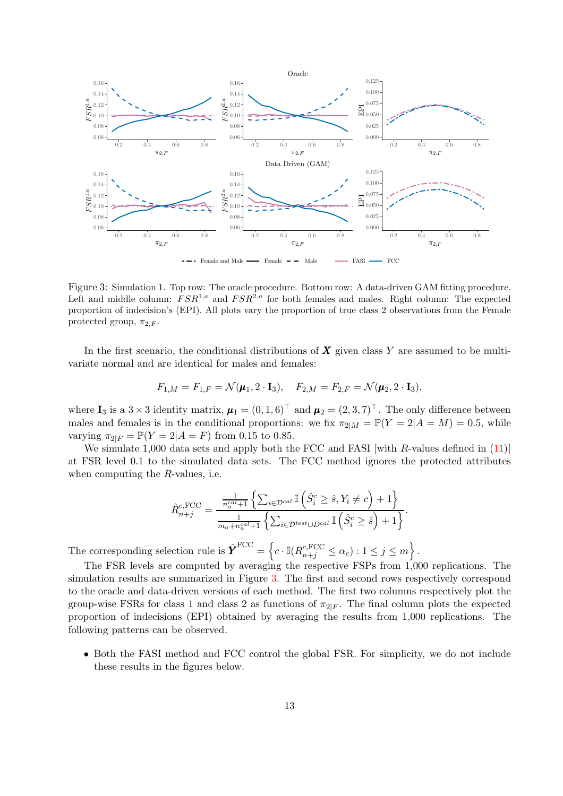<span id="page-12-0"></span>

Figure 3: Simulation 1. Top row: The oracle procedure. Bottom row: A data-driven GAM fitting procedure. Left and middle column:  $FSR^{1,a}$  and  $FSR^{2,a}$  for both females and males. Right column: The expected proportion of indecision's (EPI). All plots vary the proportion of true class 2 observations from the Female protected group,  $\pi_{2,F}$ .

In the first scenario, the conditional distributions of  $\boldsymbol{X}$  given class Y are assumed to be multivariate normal and are identical for males and females:

$$
F_{1,M} = F_{1,F} = \mathcal{N}(\mu_1, 2 \cdot \mathbf{I}_3), \quad F_{2,M} = F_{2,F} = \mathcal{N}(\mu_2, 2 \cdot \mathbf{I}_3),
$$

where  $\mathbf{I}_3$  is a 3 × 3 identity matrix,  $\boldsymbol{\mu}_1 = (0, 1, 6)^\top$  and  $\boldsymbol{\mu}_2 = (2, 3, 7)^\top$ . The only difference between males and females is in the conditional proportions: we fix  $\pi_{2|M} = \mathbb{P}(Y = 2|A = M) = 0.5$ , while varying  $\pi_{2|F} = \mathbb{P}(Y = 2|A = F)$  from 0.15 to 0.85.

We simulate 1,000 data sets and apply both the FCC and FASI with R-values defined in [\(11\)](#page-6-1) at FSR level 0.1 to the simulated data sets. The FCC method ignores the protected attributes when computing the  $R$ -values, i.e.

$$
\hat{R}_{n+j}^{c,\text{FCC}} = \frac{\frac{1}{n_a^{cal}+1} \left\{ \sum_{i \in \mathcal{D}^{cal}} \mathbb{I} \left( \hat{S}_i^c \geq \hat{s}, Y_i \neq c \right) + 1 \right\}}{\frac{1}{m_a + n_a^{cal}+1} \left\{ \sum_{i \in \mathcal{D}^{test} \cup D^{cal}} \mathbb{I} \left( \hat{S}_i^c \geq \hat{s} \right) + 1 \right\}}.
$$

The corresponding selection rule is  $\hat{\boldsymbol{Y}}^{\text{FCC}} = \left\{c \cdot \mathbb{I}(R_{n+j}^{c,\text{FCC}} \leq \alpha_c) : 1 \leq j \leq m \right\}.$ 

The FSR levels are computed by averaging the respective FSPs from 1,000 replications. The simulation results are summarized in Figure [3.](#page-12-0) The first and second rows respectively correspond to the oracle and data-driven versions of each method. The first two columns respectively plot the group-wise FSRs for class 1 and class 2 as functions of  $\pi_{2|F}$ . The final column plots the expected proportion of indecisions (EPI) obtained by averaging the results from 1,000 replications. The following patterns can be observed.

• Both the FASI method and FCC control the global FSR. For simplicity, we do not include these results in the figures below.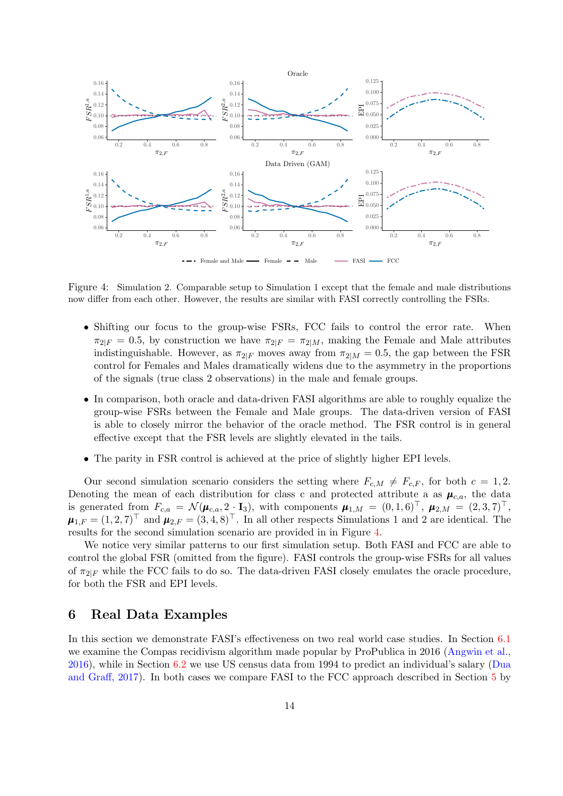<span id="page-13-1"></span>

Figure 4: Simulation 2. Comparable setup to Simulation 1 except that the female and male distributions now differ from each other. However, the results are similar with FASI correctly controlling the FSRs.

- Shifting our focus to the group-wise FSRs, FCC fails to control the error rate. When  $\pi_{2|F} = 0.5$ , by construction we have  $\pi_{2|F} = \pi_{2|M}$ , making the Female and Male attributes indistinguishable. However, as  $\pi_{2|F}$  moves away from  $\pi_{2|M} = 0.5$ , the gap between the FSR control for Females and Males dramatically widens due to the asymmetry in the proportions of the signals (true class 2 observations) in the male and female groups.
- In comparison, both oracle and data-driven FASI algorithms are able to roughly equalize the group-wise FSRs between the Female and Male groups. The data-driven version of FASI is able to closely mirror the behavior of the oracle method. The FSR control is in general effective except that the FSR levels are slightly elevated in the tails.
- The parity in FSR control is achieved at the price of slightly higher EPI levels.

Our second simulation scenario considers the setting where  $F_{c,M} \neq F_{c,F}$ , for both  $c = 1, 2$ . Denoting the mean of each distribution for class c and protected attribute a as  $\mu_{c,a}$ , the data is generated from  $F_{c,a} = \mathcal{N}(\mu_{c,a}, 2 \cdot I_3)$ , with components  $\mu_{1,M} = (0, 1, 6)^{\top}$ ,  $\mu_{2,M} = (2, 3, 7)^{\top}$ ,  $\mu_{1,F} = (1,2,7)^{\top}$  and  $\mu_{2,F} = (3,4,8)^{\top}$ . In all other respects Simulations 1 and 2 are identical. The results for the second simulation scenario are provided in in Figure [4.](#page-13-1)

We notice very similar patterns to our first simulation setup. Both FASI and FCC are able to control the global FSR (omitted from the figure). FASI controls the group-wise FSRs for all values of  $\pi_{2|F}$  while the FCC fails to do so. The data-driven FASI closely emulates the oracle procedure, for both the FSR and EPI levels.

### <span id="page-13-0"></span>6 Real Data Examples

In this section we demonstrate FASI's effectiveness on two real world case studies. In Section [6.1](#page-14-0) we e[xamine the Compas recidivism algorithm made popular by ProPublica in 2016 \(](#page-17-1)Angwin et al., 2016), while in Section [6.2](#page-15-0) [we use US census data from 1994 to predict an individual's salary \(](#page-18-9)Dua and Graff, 2017). In both cases we compare FASI to the FCC approach described in Section [5](#page-11-0) by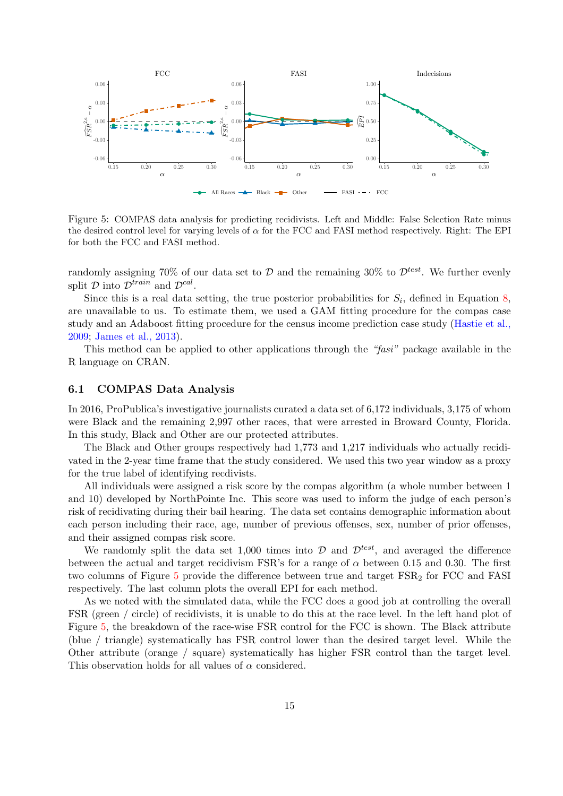<span id="page-14-1"></span>

Figure 5: COMPAS data analysis for predicting recidivists. Left and Middle: False Selection Rate minus the desired control level for varying levels of  $\alpha$  for the FCC and FASI method respectively. Right: The EPI for both the FCC and FASI method.

randomly assigning 70% of our data set to  $D$  and the remaining 30% to  $\mathcal{D}^{test}$ . We further evenly split  $D$  into  $\mathcal{D}^{train}$  and  $\mathcal{D}^{cal}$ .

Since this is a real data setting, the true posterior probabilities for  $S_i$ , defined in Equation [8,](#page-4-1) are unavailable to us. To estimate them, we used a GAM fitting procedure for the compas case stud[y and an Adaboost fitting procedure for the census income](#page-18-8) prediction case study (Hastie et al., 2009; [James et al., 2013\)](#page-19-9).

This method can be applied to other applications through the "fasi" package available in the R language on CRAN.

### <span id="page-14-0"></span>6.1 COMPAS Data Analysis

In 2016, ProPublica's investigative journalists curated a data set of 6,172 individuals, 3,175 of whom were Black and the remaining 2,997 other races, that were arrested in Broward County, Florida. In this study, Black and Other are our protected attributes.

The Black and Other groups respectively had 1,773 and 1,217 individuals who actually recidivated in the 2-year time frame that the study considered. We used this two year window as a proxy for the true label of identifying recdivists.

All individuals were assigned a risk score by the compas algorithm (a whole number between 1 and 10) developed by NorthPointe Inc. This score was used to inform the judge of each person's risk of recidivating during their bail hearing. The data set contains demographic information about each person including their race, age, number of previous offenses, sex, number of prior offenses, and their assigned compas risk score.

We randomly split the data set 1,000 times into  $\mathcal{D}$  and  $\mathcal{D}^{test}$ , and averaged the difference between the actual and target recidivism FSR's for a range of  $\alpha$  between 0.15 and 0.30. The first two columns of Figure [5](#page-14-1) provide the difference between true and target  $FSR<sub>2</sub>$  for FCC and FASI respectively. The last column plots the overall EPI for each method.

As we noted with the simulated data, while the FCC does a good job at controlling the overall FSR (green / circle) of recidivists, it is unable to do this at the race level. In the left hand plot of Figure [5,](#page-14-1) the breakdown of the race-wise FSR control for the FCC is shown. The Black attribute (blue / triangle) systematically has FSR control lower than the desired target level. While the Other attribute (orange / square) systematically has higher FSR control than the target level. This observation holds for all values of  $\alpha$  considered.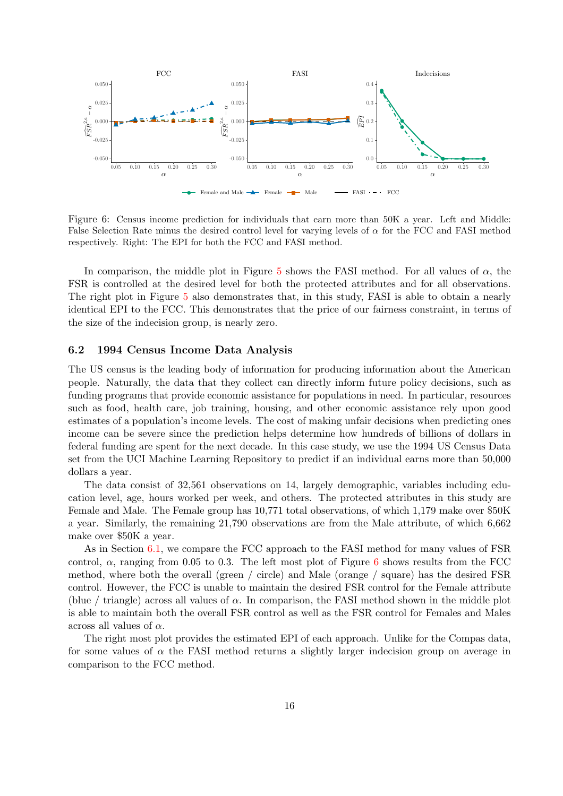<span id="page-15-1"></span>

Figure 6: Census income prediction for individuals that earn more than 50K a year. Left and Middle: False Selection Rate minus the desired control level for varying levels of  $\alpha$  for the FCC and FASI method respectively. Right: The EPI for both the FCC and FASI method.

In comparison, the middle plot in Figure [5](#page-14-1) shows the FASI method. For all values of  $\alpha$ , the FSR is controlled at the desired level for both the protected attributes and for all observations. The right plot in Figure [5](#page-14-1) also demonstrates that, in this study, FASI is able to obtain a nearly identical EPI to the FCC. This demonstrates that the price of our fairness constraint, in terms of the size of the indecision group, is nearly zero.

### <span id="page-15-0"></span>6.2 1994 Census Income Data Analysis

The US census is the leading body of information for producing information about the American people. Naturally, the data that they collect can directly inform future policy decisions, such as funding programs that provide economic assistance for populations in need. In particular, resources such as food, health care, job training, housing, and other economic assistance rely upon good estimates of a population's income levels. The cost of making unfair decisions when predicting ones income can be severe since the prediction helps determine how hundreds of billions of dollars in federal funding are spent for the next decade. In this case study, we use the 1994 US Census Data set from the UCI Machine Learning Repository to predict if an individual earns more than 50,000 dollars a year.

The data consist of 32,561 observations on 14, largely demographic, variables including education level, age, hours worked per week, and others. The protected attributes in this study are Female and Male. The Female group has 10,771 total observations, of which 1,179 make over \$50K a year. Similarly, the remaining 21,790 observations are from the Male attribute, of which 6,662 make over \$50K a year.

As in Section [6.1,](#page-14-0) we compare the FCC approach to the FASI method for many values of FSR control,  $\alpha$ , ranging from 0.05 to 0.3. The left most plot of Figure [6](#page-15-1) shows results from the FCC method, where both the overall (green / circle) and Male (orange / square) has the desired FSR control. However, the FCC is unable to maintain the desired FSR control for the Female attribute (blue / triangle) across all values of  $\alpha$ . In comparison, the FASI method shown in the middle plot is able to maintain both the overall FSR control as well as the FSR control for Females and Males across all values of  $\alpha$ .

The right most plot provides the estimated EPI of each approach. Unlike for the Compas data, for some values of  $\alpha$  the FASI method returns a slightly larger indecision group on average in comparison to the FCC method.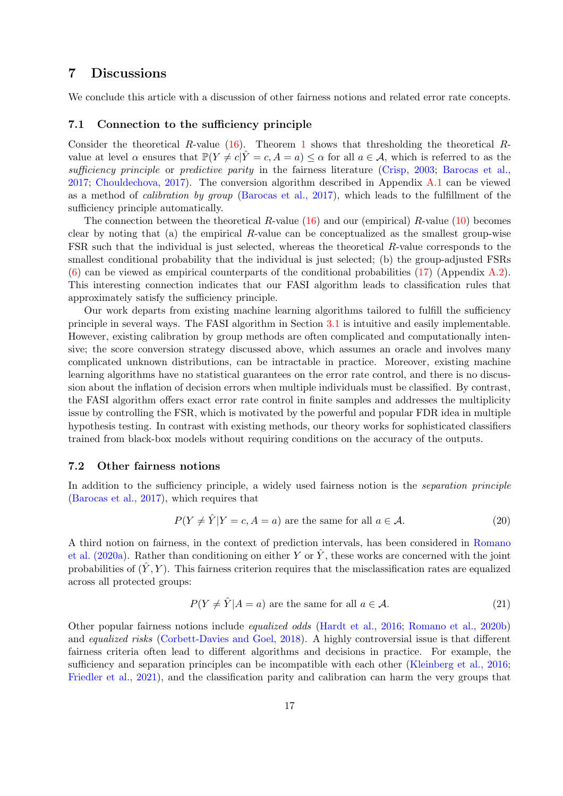### <span id="page-16-0"></span>7 Discussions

<span id="page-16-1"></span>We conclude this article with a discussion of other fairness notions and related error rate concepts.

### 7.1 Connection to the sufficiency principle

Consider the theoretical R-value [\(16\)](#page-10-2). Theorem [1](#page-10-3) shows that thresholding the theoretical Rvalue at level  $\alpha$  ensures that  $\mathbb{P}(Y \neq c | \hat{Y} = c, A = a) \leq \alpha$  for all  $a \in \mathcal{A}$ , which is referred to as the sufficiency principle or predictive parity [in the fairness literature](#page-17-5) [\(Crisp, 2003](#page-18-10)[;](#page-17-5) Barocas et al., 2017; [Chouldechova, 2017\)](#page-18-11). The conversion algorithm described in Appendix [A.1](#page-20-0) can be viewed as a method of calibration by group [\(Barocas et al., 2017\)](#page-17-5), which leads to the fulfillment of the sufficiency principle automatically.

The connection between the theoretical R-value  $(16)$  and our (empirical) R-value  $(10)$  becomes clear by noting that (a) the empirical  $R$ -value can be conceptualized as the smallest group-wise FSR such that the individual is just selected, whereas the theoretical R-value corresponds to the smallest conditional probability that the individual is just selected; (b) the group-adjusted FSRs  $(6)$  can be viewed as empirical counterparts of the conditional probabilities [\(17\)](#page-10-4) (Appendix [A.2\)](#page-20-1). This interesting connection indicates that our FASI algorithm leads to classification rules that approximately satisfy the sufficiency principle.

Our work departs from existing machine learning algorithms tailored to fulfill the sufficiency principle in several ways. The FASI algorithm in Section [3.1](#page-6-3) is intuitive and easily implementable. However, existing calibration by group methods are often complicated and computationally intensive; the score conversion strategy discussed above, which assumes an oracle and involves many complicated unknown distributions, can be intractable in practice. Moreover, existing machine learning algorithms have no statistical guarantees on the error rate control, and there is no discussion about the inflation of decision errors when multiple individuals must be classified. By contrast, the FASI algorithm offers exact error rate control in finite samples and addresses the multiplicity issue by controlling the FSR, which is motivated by the powerful and popular FDR idea in multiple hypothesis testing. In contrast with existing methods, our theory works for sophisticated classifiers trained from black-box models without requiring conditions on the accuracy of the outputs.

#### 7.2 Other fairness notions

In addition to the sufficiency principle, a widely used fairness notion is the *separation principle* [\(Barocas et al., 2017](#page-17-5)), which requires that

$$
P(Y \neq \hat{Y}|Y = c, A = a) \text{ are the same for all } a \in \mathcal{A}.
$$
 (20)

A third not[ion on fairness, in the context of prediction intervals, has been considered in](#page-19-10) Romano et al. (2020a). Rather than conditioning on either Y or  $\hat{Y}$ , these works are concerned with the joint probabilities of  $(\hat{Y}, Y)$ . This fairness criterion requires that the misclassification rates are equalized across all protected groups:

$$
P(Y \neq \hat{Y} | A = a) \text{ are the same for all } a \in \mathcal{A}.
$$
 (21)

Other popular fairness notions include equalized odds [\(Hardt et al., 2016](#page-18-2); [Romano et al., 2020b\)](#page-19-0) and equalized risks [\(Corbett-Davies and Goel, 2018\)](#page-18-12). A highly controversial issue is that different fairness criteria often lead to different algorithms and decisions in practice. For example, the sufficiency and separation principles can be incompatible with each other [\(Kleinberg et al., 2016;](#page-19-11) [Friedler et al., 2021\)](#page-18-13), and the classification parity and calibration can harm the very groups that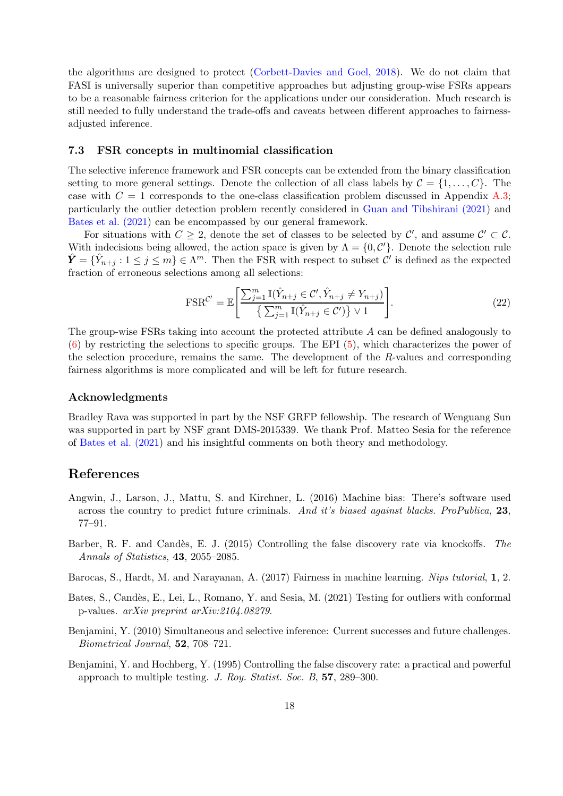the algorithms are designed to protect [\(Corbett-Davies and Goel, 2018\)](#page-18-12). We do not claim that FASI is universally superior than competitive approaches but adjusting group-wise FSRs appears to be a reasonable fairness criterion for the applications under our consideration. Much research is still needed to fully understand the trade-offs and caveats between different approaches to fairnessadjusted inference.

### 7.3 FSR concepts in multinomial classification

The selective inference framework and FSR concepts can be extended from the binary classification setting to more general settings. Denote the collection of all class labels by  $\mathcal{C} = \{1, \ldots, C\}$ . The case with  $C = 1$  corresponds to the one-class classification problem discussed in Appendix [A.3;](#page-21-0) particularly the outlier detection problem recently considered in [Guan and Tibshirani \(2021](#page-18-14)) and [Bates et al. \(2021\)](#page-17-4) can be encompassed by our general framework.

For situations with  $C \geq 2$ , denote the set of classes to be selected by  $\mathcal{C}'$ , and assume  $\mathcal{C}' \subset \mathcal{C}$ . With indecisions being allowed, the action space is given by  $\Lambda = \{0, \mathcal{C}'\}$ . Denote the selection rule  $\hat{\mathbf{Y}} = \{\hat{Y}_{n+j} : 1 \leq j \leq m\} \in \Lambda^m$ . Then the FSR with respect to subset  $\mathcal{C}'$  is defined as the expected fraction of erroneous selections among all selections:

$$
\text{FSR}^{\mathcal{C}'} = \mathbb{E}\left[\frac{\sum_{j=1}^{m} \mathbb{I}(\hat{Y}_{n+j} \in \mathcal{C}', \hat{Y}_{n+j} \neq Y_{n+j})}{\left\{\sum_{j=1}^{m} \mathbb{I}(\hat{Y}_{n+j} \in \mathcal{C}')\right\} \vee 1}\right].\tag{22}
$$

The group-wise FSRs taking into account the protected attribute A can be defined analogously to [\(6\)](#page-4-0) by restricting the selections to specific groups. The EPI [\(5\)](#page-4-3), which characterizes the power of the selection procedure, remains the same. The development of the R-values and corresponding fairness algorithms is more complicated and will be left for future research.

#### Acknowledgments

Bradley Rava was supported in part by the NSF GRFP fellowship. The research of Wenguang Sun was supported in part by NSF grant DMS-2015339. We thank Prof. Matteo Sesia for the reference of [Bates et al. \(2021](#page-17-4)) and his insightful comments on both theory and methodology.

### References

- <span id="page-17-1"></span>Angwin, J., Larson, J., Mattu, S. and Kirchner, L. (2016) Machine bias: There's software used across the country to predict future criminals. And it's biased against blacks. ProPublica, 23, 77–91.
- <span id="page-17-3"></span>Barber, R. F. and Candès, E. J. (2015) Controlling the false discovery rate via knockoffs. The Annals of Statistics, 43, 2055–2085.
- <span id="page-17-5"></span>Barocas, S., Hardt, M. and Narayanan, A. (2017) Fairness in machine learning. Nips tutorial, 1, 2.
- <span id="page-17-4"></span>Bates, S., Candès, E., Lei, L., Romano, Y. and Sesia, M. (2021) Testing for outliers with conformal p-values. arXiv preprint arXiv:2104.08279.
- <span id="page-17-0"></span>Benjamini, Y. (2010) Simultaneous and selective inference: Current successes and future challenges. Biometrical Journal, 52, 708–721.
- <span id="page-17-2"></span>Benjamini, Y. and Hochberg, Y. (1995) Controlling the false discovery rate: a practical and powerful approach to multiple testing. J. Roy. Statist. Soc. B, 57, 289–300.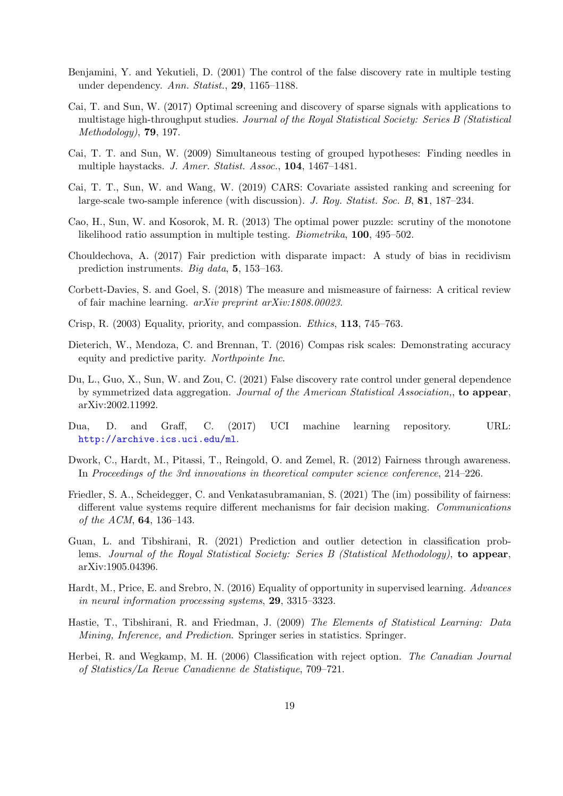- <span id="page-18-6"></span>Benjamini, Y. and Yekutieli, D. (2001) The control of the false discovery rate in multiple testing under dependency. Ann. Statist., 29, 1165–1188.
- <span id="page-18-4"></span>Cai, T. and Sun, W. (2017) Optimal screening and discovery of sparse signals with applications to multistage high-throughput studies. Journal of the Royal Statistical Society: Series B (Statistical Methodology), 79, 197.
- <span id="page-18-16"></span>Cai, T. T. and Sun, W. (2009) Simultaneous testing of grouped hypotheses: Finding needles in multiple haystacks. J. Amer. Statist. Assoc., 104, 1467–1481.
- <span id="page-18-15"></span>Cai, T. T., Sun, W. and Wang, W. (2019) CARS: Covariate assisted ranking and screening for large-scale two-sample inference (with discussion). J. Roy. Statist. Soc. B, 81, 187–234.
- <span id="page-18-7"></span>Cao, H., Sun, W. and Kosorok, M. R. (2013) The optimal power puzzle: scrutiny of the monotone likelihood ratio assumption in multiple testing. Biometrika, 100, 495–502.
- <span id="page-18-11"></span>Chouldechova, A. (2017) Fair prediction with disparate impact: A study of bias in recidivism prediction instruments. Big data, 5, 153–163.
- <span id="page-18-12"></span>Corbett-Davies, S. and Goel, S. (2018) The measure and mismeasure of fairness: A critical review of fair machine learning. arXiv preprint arXiv:1808.00023.
- <span id="page-18-10"></span>Crisp, R. (2003) Equality, priority, and compassion. Ethics, 113, 745–763.
- <span id="page-18-0"></span>Dieterich, W., Mendoza, C. and Brennan, T. (2016) Compas risk scales: Demonstrating accuracy equity and predictive parity. Northpointe Inc.
- <span id="page-18-5"></span>Du, L., Guo, X., Sun, W. and Zou, C. (2021) False discovery rate control under general dependence by symmetrized data aggregation. Journal of the American Statistical Association, to appear, arXiv:2002.11992.
- <span id="page-18-9"></span>Dua, D. and Graff, C. (2017) UCI machine learning repository. URL: <http://archive.ics.uci.edu/ml>.
- <span id="page-18-1"></span>Dwork, C., Hardt, M., Pitassi, T., Reingold, O. and Zemel, R. (2012) Fairness through awareness. In Proceedings of the 3rd innovations in theoretical computer science conference, 214–226.
- <span id="page-18-13"></span>Friedler, S. A., Scheidegger, C. and Venkatasubramanian, S. (2021) The (im) possibility of fairness: different value systems require different mechanisms for fair decision making. Communications of the ACM, 64, 136–143.
- <span id="page-18-14"></span>Guan, L. and Tibshirani, R. (2021) Prediction and outlier detection in classification problems. Journal of the Royal Statistical Society: Series B (Statistical Methodology), to appear, arXiv:1905.04396.
- <span id="page-18-2"></span>Hardt, M., Price, E. and Srebro, N. (2016) Equality of opportunity in supervised learning. Advances in neural information processing systems, 29, 3315–3323.
- <span id="page-18-8"></span>Hastie, T., Tibshirani, R. and Friedman, J. (2009) The Elements of Statistical Learning: Data Mining, Inference, and Prediction. Springer series in statistics. Springer.
- <span id="page-18-3"></span>Herbei, R. and Wegkamp, M. H. (2006) Classification with reject option. The Canadian Journal of Statistics/La Revue Canadienne de Statistique, 709–721.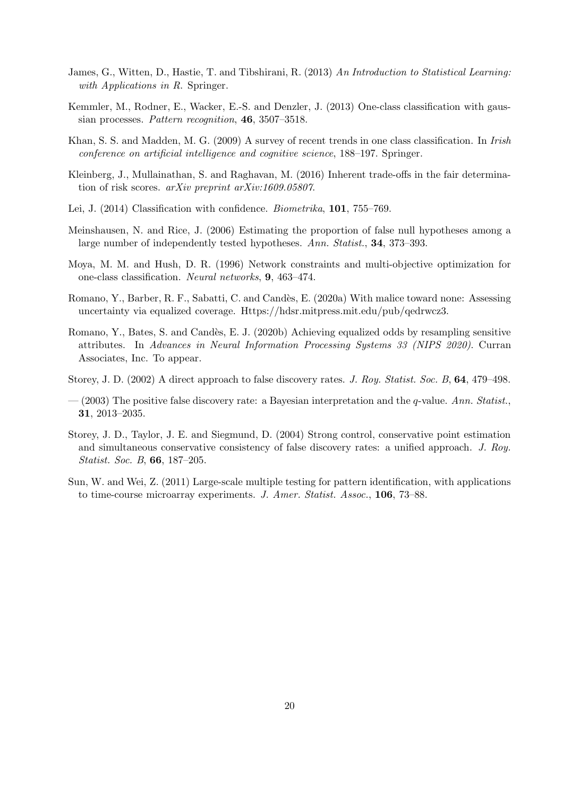- <span id="page-19-9"></span>James, G., Witten, D., Hastie, T. and Tibshirani, R. (2013) An Introduction to Statistical Learning: with Applications in R. Springer.
- <span id="page-19-8"></span>Kemmler, M., Rodner, E., Wacker, E.-S. and Denzler, J. (2013) One-class classification with gaussian processes. Pattern recognition, 46, 3507–3518.
- <span id="page-19-7"></span>Khan, S. S. and Madden, M. G. (2009) A survey of recent trends in one class classification. In Irish conference on artificial intelligence and cognitive science, 188–197. Springer.
- <span id="page-19-11"></span>Kleinberg, J., Mullainathan, S. and Raghavan, M. (2016) Inherent trade-offs in the fair determination of risk scores. arXiv preprint arXiv:1609.05807.
- <span id="page-19-2"></span>Lei, J. (2014) Classification with confidence. Biometrika, 101, 755–769.
- <span id="page-19-3"></span>Meinshausen, N. and Rice, J. (2006) Estimating the proportion of false null hypotheses among a large number of independently tested hypotheses. Ann. Statist., **34**, 373–393.
- <span id="page-19-6"></span>Moya, M. M. and Hush, D. R. (1996) Network constraints and multi-objective optimization for one-class classification. Neural networks, 9, 463–474.
- <span id="page-19-10"></span>Romano, Y., Barber, R. F., Sabatti, C. and Candès, E. (2020a) With malice toward none: Assessing uncertainty via equalized coverage. Https://hdsr.mitpress.mit.edu/pub/qedrwcz3.
- <span id="page-19-0"></span>Romano, Y., Bates, S. and Candès, E. J. (2020b) Achieving equalized odds by resampling sensitive attributes. In Advances in Neural Information Processing Systems 33 (NIPS 2020). Curran Associates, Inc. To appear.
- <span id="page-19-12"></span>Storey, J. D. (2002) A direct approach to false discovery rates. J. Roy. Statist. Soc. B, 64, 479–498.
- <span id="page-19-4"></span> $-$  (2003) The positive false discovery rate: a Bayesian interpretation and the *q*-value. Ann. Statist. 31, 2013–2035.
- <span id="page-19-5"></span>Storey, J. D., Taylor, J. E. and Siegmund, D. (2004) Strong control, conservative point estimation and simultaneous conservative consistency of false discovery rates: a unified approach. J. Roy. Statist. Soc. B, 66, 187–205.
- <span id="page-19-1"></span>Sun, W. and Wei, Z. (2011) Large-scale multiple testing for pattern identification, with applications to time-course microarray experiments. J. Amer. Statist. Assoc., 106, 73–88.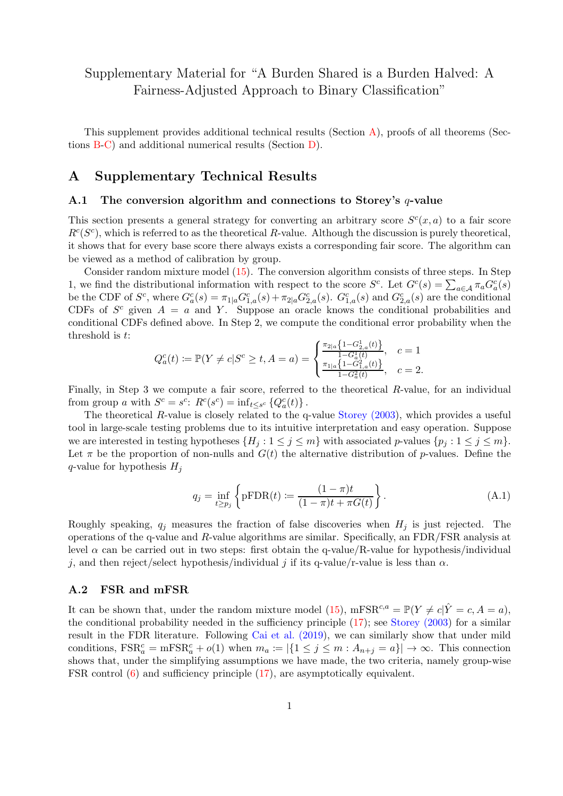## Supplementary Material for "A Burden Shared is a Burden Halved: A Fairness-Adjusted Approach to Binary Classification"

This supplement provides additional technical results (Section [A\)](#page-20-2), proofs of all theorems (Sections [B](#page-22-0)[-C\)](#page-27-1) and additional numerical results (Section [D\)](#page-29-0).

### <span id="page-20-2"></span><span id="page-20-0"></span>A Supplementary Technical Results

### A.1 The conversion algorithm and connections to Storey's  $q$ -value

This section presents a general strategy for converting an arbitrary score  $S<sup>c</sup>(x, a)$  to a fair score  $R^{c}(S^{c})$ , which is referred to as the theoretical R-value. Although the discussion is purely theoretical, it shows that for every base score there always exists a corresponding fair score. The algorithm can be viewed as a method of calibration by group.

Consider random mixture model [\(15\)](#page-9-3). The conversion algorithm consists of three steps. In Step 1, we find the distributional information with respect to the score  $S^c$ . Let  $G^c(s) = \sum_{a \in A} \pi_a G^c_a(s)$ be the CDF of  $S^c$ , where  $G^c_a(s) = \pi_{1|a} G^c_{1,a}(s) + \pi_{2|a} G^c_{2,a}(s)$ .  $G^c_{1,a}(s)$  and  $G^c_{2,a}(s)$  are the conditional CDFs of  $S^c$  given  $A = a$  and Y. Suppose an oracle knows the conditional probabilities and conditional CDFs defined above. In Step 2, we compute the conditional error probability when the threshold is t:

$$
Q_a^c(t) \coloneqq \mathbb{P}(Y \neq c | S^c \geq t, A = a) = \begin{cases} \frac{\pi_{2|a} \left\{ 1 - G_{2,a}^1(t) \right\}}{1 - G_a^1(t)}, & c = 1\\ \frac{\pi_{1|a} \left\{ 1 - G_{1,a}^2(t) \right\}}{1 - G_a^2(t)}, & c = 2. \end{cases}
$$

Finally, in Step 3 we compute a fair score, referred to the theoretical R-value, for an individual from group a with  $S^c = s^c$ :  $R^c(s^c) = inf_{t \leq s^c} \{Q_a^c(t)\}$ .

The theoretical R-value is closely related to the q-value [Storey \(2003\)](#page-19-4), which provides a useful tool in large-scale testing problems due to its intuitive interpretation and easy operation. Suppose we are interested in testing hypotheses  $\{H_j : 1 \leq j \leq m\}$  with associated p-values  $\{p_j : 1 \leq j \leq m\}$ . Let  $\pi$  be the proportion of non-nulls and  $G(t)$  the alternative distribution of p-values. Define the q-value for hypothesis  $H_i$ 

$$
q_j = \inf_{t \ge p_j} \left\{ \text{pFDR}(t) := \frac{(1 - \pi)t}{(1 - \pi)t + \pi G(t)} \right\}.
$$
 (A.1)

Roughly speaking,  $q_i$  measures the fraction of false discoveries when  $H_i$  is just rejected. The operations of the q-value and R-value algorithms are similar. Specifically, an FDR/FSR analysis at level  $\alpha$  can be carried out in two steps: first obtain the q-value/R-value for hypothesis/individual j, and then reject/select hypothesis/individual j if its q-value/r-value is less than  $\alpha$ .

### <span id="page-20-1"></span>A.2 FSR and mFSR

It can be shown that, under the random mixture model [\(15\)](#page-9-3), mFSR<sup>c,a</sup> =  $\mathbb{P}(Y \neq c | \hat{Y} = c, A = a)$ , the conditional probability needed in the sufficiency principle [\(17\)](#page-10-4); see [Storey \(2003\)](#page-19-4) for a similar result in the FDR literature. Following [Cai et al. \(2019\)](#page-18-15), we can similarly show that under mild conditions,  $\text{FSR}_{a}^{c} = \text{mFSR}_{a}^{c} + o(1)$  when  $m_a := |\{1 \leq j \leq m : A_{n+j} = a\}| \to \infty$ . This connection shows that, under the simplifying assumptions we have made, the two criteria, namely group-wise FSR control [\(6\)](#page-4-0) and sufficiency principle [\(17\)](#page-10-4), are asymptotically equivalent.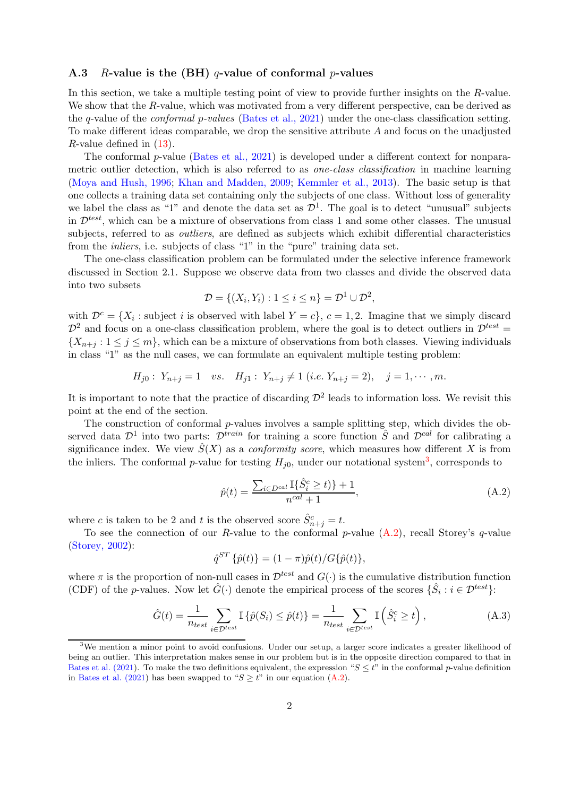### <span id="page-21-0"></span>A.3 R-value is the (BH) q-value of conformal p-values

In this section, we take a multiple testing point of view to provide further insights on the R-value. We show that the R-value, which was motivated from a very different perspective, can be derived as the q-value of the conformal p-values [\(Bates et al., 2021](#page-17-4)) under the one-class classification setting. To make different ideas comparable, we drop the sensitive attribute  $A$  and focus on the unadjusted *R*-value defined in  $(13)$ .

The conformal p-value [\(Bates et al., 2021\)](#page-17-4) is developed under a different context for nonparametric outlier detection, which is also referred to as *one-class classification* in machine learning [\(Moya and Hush, 1996](#page-19-6); [Khan and Madden, 2009](#page-19-7); [Kemmler et al., 2013](#page-19-8)). The basic setup is that one collects a training data set containing only the subjects of one class. Without loss of generality we label the class as "1" and denote the data set as  $\mathcal{D}^1$ . The goal is to detect "unusual" subjects in  $\mathcal{D}^{test}$ , which can be a mixture of observations from class 1 and some other classes. The unusual subjects, referred to as *outliers*, are defined as subjects which exhibit differential characteristics from the inliers, i.e. subjects of class "1" in the "pure" training data set.

The one-class classification problem can be formulated under the selective inference framework discussed in Section 2.1. Suppose we observe data from two classes and divide the observed data into two subsets

$$
\mathcal{D} = \{ (X_i, Y_i) : 1 \le i \le n \} = \mathcal{D}^1 \cup \mathcal{D}^2,
$$

with  $\mathcal{D}^c = \{X_i : \text{subject } i \text{ is observed with label } Y = c\}, c = 1, 2.$  Imagine that we simply discard  $\mathcal{D}^2$  and focus on a one-class classification problem, where the goal is to detect outliers in  $\mathcal{D}^{test} =$  $\{X_{n+j} : 1 \leq j \leq m\}$ , which can be a mixture of observations from both classes. Viewing individuals in class "1" as the null cases, we can formulate an equivalent multiple testing problem:

$$
H_{j0}: Y_{n+j} = 1 \quad vs. \quad H_{j1}: Y_{n+j} \neq 1 \ (i.e. \ Y_{n+j} = 2), \quad j = 1, \cdots, m.
$$

It is important to note that the practice of discarding  $\mathcal{D}^2$  leads to information loss. We revisit this point at the end of the section.

The construction of conformal p-values involves a sample splitting step, which divides the observed data  $\mathcal{D}^1$  into two parts:  $\mathcal{D}^{train}$  for training a score function  $\hat{S}$  and  $\mathcal{D}^{cal}$  for calibrating a significance index. We view  $\hat{S}(X)$  as a *conformity score*, which measures how different X is from the inliers. The conformal p-value for testing  $H_{j0}$ , under our notational system<sup>[3](#page-21-1)</sup>, corresponds to

<span id="page-21-2"></span>
$$
\hat{p}(t) = \frac{\sum_{i \in D^{cal}} \mathbb{I}\{\hat{S}_i^c \ge t\} + 1}{n^{cal} + 1},\tag{A.2}
$$

where c is taken to be 2 and t is the observed score  $\hat{S}_{n+j}^c = t$ .

To see the connection of our R-value to the conformal p-value  $(A.2)$ , recall Storey's q-value [\(Storey, 2002](#page-19-12)):

$$
\hat{q}^{ST} \{ \hat{p}(t) \} = (1 - \pi) \hat{p}(t) / G \{ \hat{p}(t) \},
$$

where  $\pi$  is the proportion of non-null cases in  $\mathcal{D}^{test}$  and  $G(\cdot)$  is the cumulative distribution function (CDF) of the p-values. Now let  $\hat{G}(\cdot)$  denote the empirical process of the scores  $\{\hat{S}_i : i \in \mathcal{D}^{test}\}$ :

<span id="page-21-3"></span>
$$
\hat{G}(t) = \frac{1}{n_{test}} \sum_{i \in \mathcal{D}^{test}} \mathbb{I}\left\{\hat{p}(S_i) \leq \hat{p}(t)\right\} = \frac{1}{n_{test}} \sum_{i \in \mathcal{D}^{test}} \mathbb{I}\left(\hat{S}_i^c \geq t\right),\tag{A.3}
$$

<span id="page-21-1"></span><sup>&</sup>lt;sup>3</sup>We mention a minor point to avoid confusions. Under our setup, a larger score indicates a greater likelihood of being an outlier. This interpretation makes sense in our problem but is in the opposite direction compared to that in [Bates et al. \(2021](#page-17-4)). To make the two definitions equivalent, the expression " $S \le t$ " in the conformal p-value definition in [Bates et al. \(2021\)](#page-17-4) has been swapped to " $S > t$ " in our equation [\(A.2\)](#page-21-2).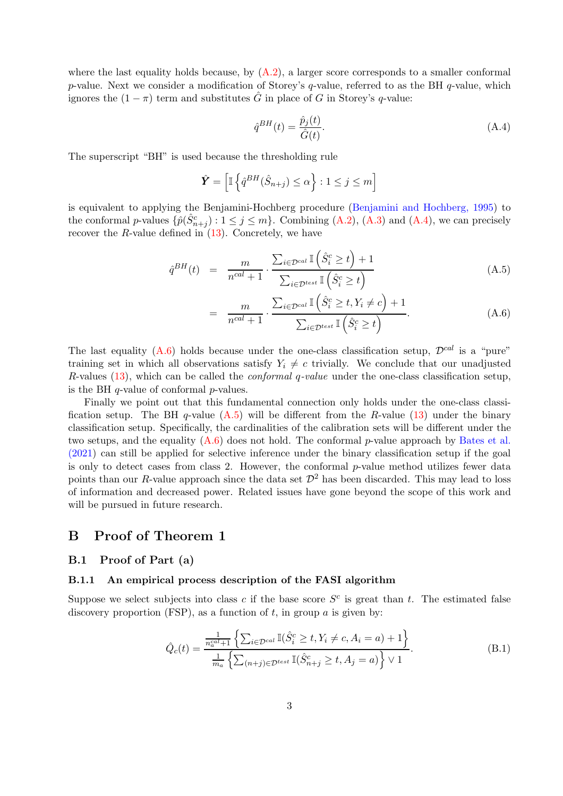where the last equality holds because, by  $(A.2)$ , a larger score corresponds to a smaller conformal p-value. Next we consider a modification of Storey's q-value, referred to as the BH  $q$ -value, which ignores the  $(1 - \pi)$  term and substitutes  $\tilde{G}$  in place of G in Storey's q-value:

<span id="page-22-1"></span>
$$
\hat{q}^{BH}(t) = \frac{\hat{p}_j(t)}{\hat{G}(t)}.\tag{A.4}
$$

The superscript "BH" is used because the thresholding rule

$$
\hat{\mathbf{Y}} = \left[ \mathbb{I} \left\{ \hat{q}^{BH}(\hat{S}_{n+j}) \le \alpha \right\} : 1 \le j \le m \right]
$$

is equivalent to applying the Benjamini-Hochberg procedure [\(Benjamini and Hochberg, 1995\)](#page-17-2) to the conformal p-values  $\{\hat{p}(\hat{S}_{n+j}^c): 1 \leq j \leq m\}$ . Combining  $(A.2)$ ,  $(A.3)$  and  $(A.4)$ , we can precisely recover the  $R$ -value defined in  $(13)$ . Concretely, we have

<span id="page-22-2"></span>
$$
\hat{q}^{BH}(t) = \frac{m}{n^{cal} + 1} \cdot \frac{\sum_{i \in \mathcal{D}^{cal}} \mathbb{I}\left(\hat{S}_i^c \ge t\right) + 1}{\sum_{i \in \mathcal{D}^{test}} \mathbb{I}\left(\hat{S}_i^c \ge t\right)}\tag{A.5}
$$

$$
= \frac{m}{n^{cal}+1} \cdot \frac{\sum_{i \in \mathcal{D}^{cal}} \mathbb{I}\left(\hat{S}_i^c \ge t, Y_i \ne c\right) + 1}{\sum_{i \in \mathcal{D}^{test}} \mathbb{I}\left(\hat{S}_i^c \ge t\right)}.
$$
\n(A.6)

The last equality [\(A.6\)](#page-22-2) holds because under the one-class classification setup,  $\mathcal{D}^{cal}$  is a "pure" training set in which all observations satisfy  $Y_i \neq c$  trivially. We conclude that our unadjusted R-values  $(13)$ , which can be called the *conformal q-value* under the one-class classification setup, is the BH q-value of conformal p-values.

Finally we point out that this fundamental connection only holds under the one-class classification setup. The BH q-value  $(A.5)$  will be different from the R-value [\(13\)](#page-8-0) under the binary classification setup. Specifically, the cardinalities of the calibration sets will be different under the twos[etups, and the equality](#page-17-4)  $(A.6)$  [does not hold. The conformal](#page-17-4) p-value approach by Bates et al. (2021) can still be applied for selective inference under the binary classification setup if the goal is only to detect cases from class 2. However, the conformal  $p$ -value method utilizes fewer data points than our R-value approach since the data set  $\mathcal{D}^2$  has been discarded. This may lead to loss of information and decreased power. Related issues have gone beyond the scope of this work and will be pursued in future research.

### <span id="page-22-0"></span>B Proof of Theorem 1

### B.1 Proof of Part (a)

### B.1.1 An empirical process description of the FASI algorithm

Suppose we select subjects into class c if the base score  $S^c$  is great than t. The estimated false discovery proportion (FSP), as a function of  $t$ , in group  $a$  is given by:

<span id="page-22-3"></span>
$$
\hat{Q}_c(t) = \frac{\frac{1}{n_c^{cal}+1} \left\{ \sum_{i \in \mathcal{D}^{cal}} \mathbb{I}(\hat{S}_i^c \ge t, Y_i \ne c, A_i = a) + 1 \right\}}{\frac{1}{m_a} \left\{ \sum_{(n+j) \in \mathcal{D}^{test}} \mathbb{I}(\hat{S}_{n+j}^c \ge t, A_j = a) \right\} \vee 1}.
$$
\n(B.1)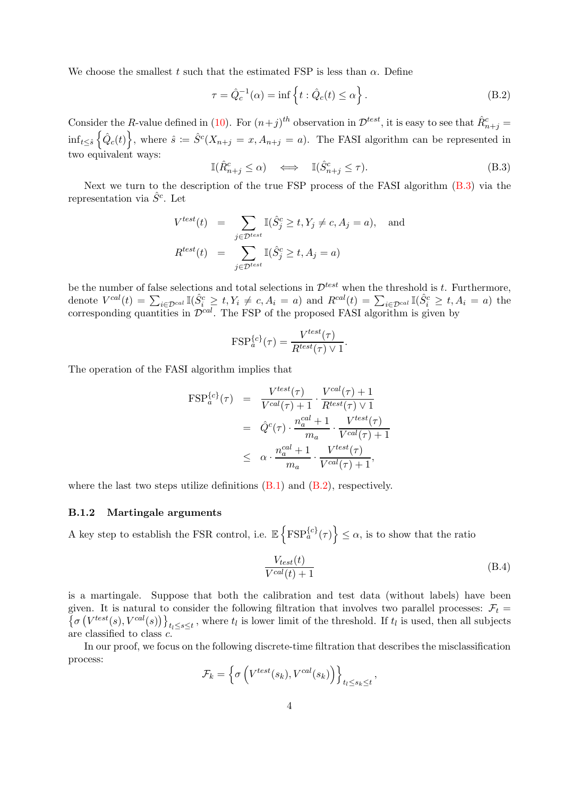We choose the smallest t such that the estimated FSP is less than  $\alpha$ . Define

<span id="page-23-1"></span>
$$
\tau = \hat{Q}_c^{-1}(\alpha) = \inf \left\{ t : \hat{Q}_c(t) \le \alpha \right\}.
$$
 (B.2)

Consider the R-value defined in [\(10\)](#page-6-2). For  $(n+j)^{th}$  observation in  $\mathcal{D}^{test}$ , it is easy to see that  $\hat{R}_{n+j}^c =$  $inf_{t\leq \hat{s}} \left\{ \hat{Q}_c(t) \right\}$ , where  $\hat{s} := \hat{S}^c(X_{n+j} = x, A_{n+j} = a)$ . The FASI algorithm can be represented in two equivalent ways:

<span id="page-23-0"></span>
$$
\mathbb{I}(\hat{R}_{n+j}^c \le \alpha) \quad \Longleftrightarrow \quad \mathbb{I}(\hat{S}_{n+j}^c \le \tau). \tag{B.3}
$$

Next we turn to the description of the true FSP process of the FASI algorithm [\(B.3\)](#page-23-0) via the representation via  $\hat{S}^c$ . Let

$$
V^{test}(t) = \sum_{j \in \mathcal{D}^{test}} \mathbb{I}(\hat{S}_j^c \ge t, Y_j \ne c, A_j = a), \text{ and}
$$

$$
R^{test}(t) = \sum_{j \in \mathcal{D}^{test}} \mathbb{I}(\hat{S}_j^c \ge t, A_j = a)
$$

be the number of false selections and total selections in  $\mathcal{D}^{test}$  when the threshold is t. Furthermore, denote  $V^{cal}(t) = \sum_{i \in \mathcal{D}^{cal}} \mathbb{I}(\hat{S}_i^c \ge t, Y_i \ne c, A_i = a)$  and  $R^{cal}(t) = \sum_{i \in \mathcal{D}^{cal}} \mathbb{I}(\hat{S}_i^c \ge t, A_i = a)$  the corresponding quantities in  $\mathcal{D}^{cal}$ . The FSP of the proposed FASI algorithm is given by

$$
FSP_a^{\{c\}}(\tau) = \frac{V^{test}(\tau)}{R^{test}(\tau) \vee 1}.
$$

The operation of the FASI algorithm implies that

$$
\begin{array}{rcl}\n\text{FSP}^{\{c\}}_a(\tau) & = & \frac{V^{test}(\tau)}{V^{cal}(\tau) + 1} \cdot \frac{V^{cal}(\tau) + 1}{R^{test}(\tau) \vee 1} \\
& = & \hat{Q}^c(\tau) \cdot \frac{n_a^{cal} + 1}{m_a} \cdot \frac{V^{test}(\tau)}{V^{cal}(\tau) + 1} \\
& \leq & \alpha \cdot \frac{n_a^{cal} + 1}{m_a} \cdot \frac{V^{test}(\tau)}{V^{cal}(\tau) + 1},\n\end{array}
$$

where the last two steps utilize definitions  $(B.1)$  and  $(B.2)$ , respectively.

### B.1.2 Martingale arguments

A key step to establish the FSR control, i.e.  $\mathbb{E} \left\{ \text{FSP}_{a}^{\{c\}}(\tau) \right\} \leq \alpha$ , is to show that the ratio

<span id="page-23-2"></span>
$$
\frac{V_{test}(t)}{V^{cal}(t) + 1}
$$
 (B.4)

is a martingale. Suppose that both the calibration and test data (without labels) have been given. It is natural to consider the following filtration that involves two parallel processes:  $\mathcal{F}_t = {\sigma (V^{test}(s), V^{cal}(s))}_{t_1 \leq s \leq t}$ , where  $t_l$  is lower limit of the threshold. If  $t_l$  is used, then all subjects are classified to class c.

In our proof, we focus on the following discrete-time filtration that describes the misclassification process:

$$
\mathcal{F}_k = \left\{ \sigma \left( V^{test}(s_k), V^{cal}(s_k) \right) \right\}_{t_l \le s_k \le t},
$$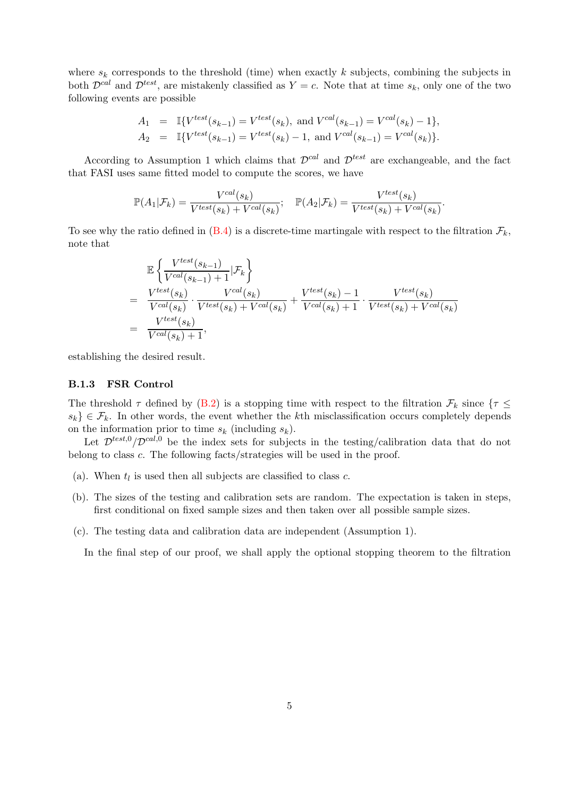where  $s_k$  corresponds to the threshold (time) when exactly k subjects, combining the subjects in both  $\mathcal{D}^{cal}$  and  $\mathcal{D}^{test}$ , are mistakenly classified as  $Y = c$ . Note that at time  $s_k$ , only one of the two following events are possible

$$
A_1 = \mathbb{I}\{V^{test}(s_{k-1}) = V^{test}(s_k), \text{ and } V^{cal}(s_{k-1}) = V^{cal}(s_k) - 1\},
$$
  
\n
$$
A_2 = \mathbb{I}\{V^{test}(s_{k-1}) = V^{test}(s_k) - 1, \text{ and } V^{cal}(s_{k-1}) = V^{cal}(s_k)\}.
$$

According to Assumption 1 which claims that  $\mathcal{D}^{cal}$  and  $\mathcal{D}^{test}$  are exchangeable, and the fact that FASI uses same fitted model to compute the scores, we have

$$
\mathbb{P}(A_1|\mathcal{F}_k) = \frac{V^{cal}(s_k)}{V^{test}(s_k) + V^{cal}(s_k)}; \quad \mathbb{P}(A_2|\mathcal{F}_k) = \frac{V^{test}(s_k)}{V^{test}(s_k) + V^{cal}(s_k)}.
$$

To see why the ratio defined in  $(B.4)$  is a discrete-time martingale with respect to the filtration  $\mathcal{F}_k$ , note that

$$
\mathbb{E}\left\{\frac{V^{test}(s_{k-1})}{V^{cal}(s_{k-1})+1}|\mathcal{F}_k\right\}
$$
\n
$$
= \frac{V^{test}(s_k)}{V^{cal}(s_k)} \cdot \frac{V^{cal}(s_k)}{V^{test}(s_k) + V^{cal}(s_k)} + \frac{V^{test}(s_k) - 1}{V^{cal}(s_k) + 1} \cdot \frac{V^{test}(s_k)}{V^{test}(s_k) + V^{cal}(s_k)}
$$
\n
$$
= \frac{V^{test}(s_k)}{V^{cal}(s_k) + 1},
$$

establishing the desired result.

#### B.1.3 FSR Control

The threshold  $\tau$  defined by [\(B.2\)](#page-23-1) is a stopping time with respect to the filtration  $\mathcal{F}_k$  since  $\{\tau \leq$  $s_k$   $\in$   $\mathcal{F}_k$ . In other words, the event whether the kth misclassification occurs completely depends on the information prior to time  $s_k$  (including  $s_k$ ).

Let  $\mathcal{D}^{test,0}/\mathcal{D}^{cal,0}$  be the index sets for subjects in the testing/calibration data that do not belong to class c. The following facts/strategies will be used in the proof.

- (a). When  $t_l$  is used then all subjects are classified to class c.
- (b). The sizes of the testing and calibration sets are random. The expectation is taken in steps, first conditional on fixed sample sizes and then taken over all possible sample sizes.
- (c). The testing data and calibration data are independent (Assumption 1).

In the final step of our proof, we shall apply the optional stopping theorem to the filtration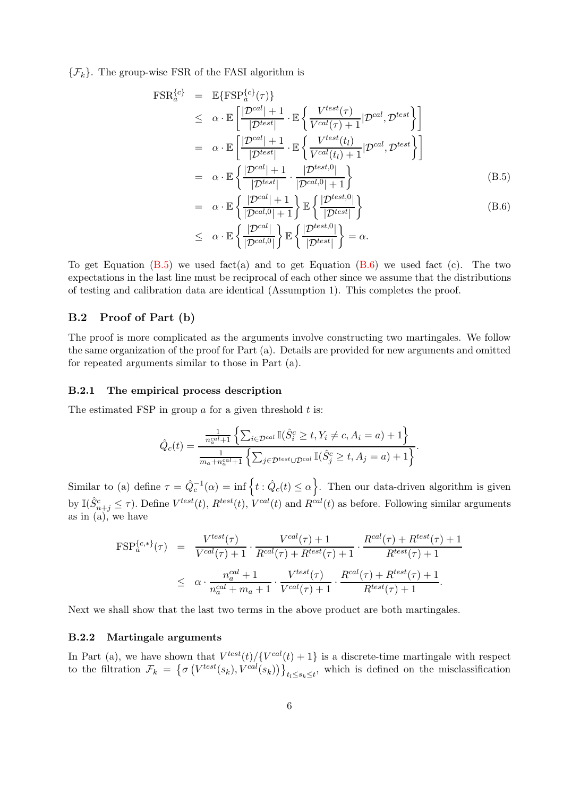$\{\mathcal{F}_k\}$ . The group-wise FSR of the FASI algorithm is

<span id="page-25-0"></span>
$$
\begin{split}\n\text{FSR}_{a}^{\{c\}} &= \mathbb{E}\{\text{FSP}_{a}^{\{c\}}(\tau)\} \\
&\leq \alpha \cdot \mathbb{E}\left[\frac{|\mathcal{D}^{cal}|+1}{|\mathcal{D}^{test}|} \cdot \mathbb{E}\left\{\frac{V^{test}(\tau)}{V^{cal}(\tau)+1}|\mathcal{D}^{cal}, \mathcal{D}^{test}\right\}\right] \\
&= \alpha \cdot \mathbb{E}\left[\frac{|\mathcal{D}^{cal}|+1}{|\mathcal{D}^{test}|} \cdot \mathbb{E}\left\{\frac{V^{test}(t_l)}{V^{cal}(t_l)+1}|\mathcal{D}^{cal}, \mathcal{D}^{test}\right\}\right] \\
&= \alpha \cdot \mathbb{E}\left\{\frac{|\mathcal{D}^{cal}|+1}{|\mathcal{D}^{test}|} \cdot \frac{|\mathcal{D}^{test,0}|}{|\mathcal{D}^{cal,0}|+1}\right\} \\
&= \alpha \cdot \mathbb{E}\left\{\frac{|\mathcal{D}^{cal}|+1}{|\mathcal{D}^{cal,0}|+1}\right\} \mathbb{E}\left\{\frac{|\mathcal{D}^{test,0}|}{|\mathcal{D}^{test}|}\right\} \\
&\leq \alpha \cdot \mathbb{E}\left\{\frac{|\mathcal{D}^{cal}|}{|\mathcal{D}^{cal,0}|}\right\} \mathbb{E}\left\{\frac{|\mathcal{D}^{test,0}|}{|\mathcal{D}^{test}|}\right\} = \alpha.\n\end{split} \tag{B.6}
$$

To get Equation  $(B.5)$  we used fact(a) and to get Equation  $(B.6)$  we used fact (c). The two expectations in the last line must be reciprocal of each other since we assume that the distributions of testing and calibration data are identical (Assumption 1). This completes the proof.

### B.2 Proof of Part (b)

The proof is more complicated as the arguments involve constructing two martingales. We follow the same organization of the proof for Part (a). Details are provided for new arguments and omitted for repeated arguments similar to those in Part (a).

#### B.2.1 The empirical process description

The estimated FSP in group  $a$  for a given threshold  $t$  is:

$$
\hat{Q}_c(t) = \frac{\frac{1}{n_a^{cal}+1} \left\{ \sum_{i \in \mathcal{D}^{cal}} \mathbb{I}(\hat{S}_i^c \ge t, Y_i \ne c, A_i = a) + 1 \right\}}{\frac{1}{m_a + n_a^{cal}+1} \left\{ \sum_{j \in \mathcal{D}^{test} \cup \mathcal{D}^{cal}} \mathbb{I}(\hat{S}_j^c \ge t, A_j = a) + 1 \right\}}.
$$

Similar to (a) define  $\tau = \hat{Q}_c^{-1}(\alpha) = \inf \{ t : \hat{Q}_c(t) \leq \alpha \}.$  Then our data-driven algorithm is given by  $\mathbb{I}(\hat{S}_{n+j}^c \leq \tau)$ . Define  $V^{test}(t)$ ,  $R^{test}(t)$ ,  $V^{cal}(t)$  and  $R^{cal}(t)$  as before. Following similar arguments as in (a), we have

$$
\begin{split} \text{FSP}^{\{c,\ast\}}_{a}(\tau) &= \frac{V^{test}(\tau)}{V^{cal}(\tau)+1} \cdot \frac{V^{cal}(\tau)+1}{R^{cal}(\tau)+R^{test}(\tau)+1} \cdot \frac{R^{cal}(\tau)+R^{test}(\tau)+1}{R^{test}(\tau)+1} \\ &\leq \alpha \cdot \frac{n_a^{cal}+1}{n_a^{cal}+m_a+1} \cdot \frac{V^{test}(\tau)}{V^{cal}(\tau)+1} \cdot \frac{R^{cal}(\tau)+R^{test}(\tau)+1}{R^{test}(\tau)+1} .\end{split}
$$

Next we shall show that the last two terms in the above product are both martingales.

#### B.2.2 Martingale arguments

In Part (a), we have shown that  $V^{test}(t)/\{V^{cal}(t) + 1\}$  is a discrete-time martingale with respect to the filtration  $\mathcal{F}_k = \{\sigma\left(V^{test}(s_k), V^{cal}(s_k)\right)\}_{t_k \leq s_k \leq t}$ , which is defined on the misclassification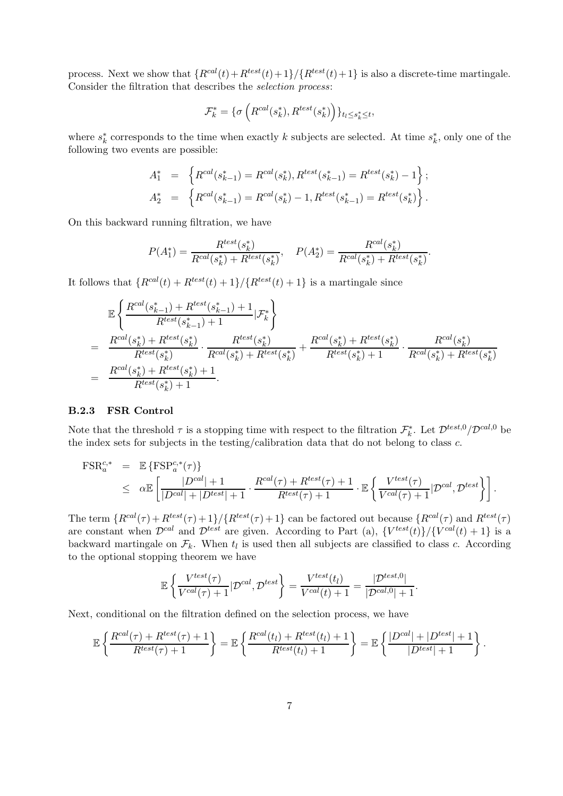process. Next we show that  ${R^{cal}(t) + R^{test}(t) + 1}/ {R^{test}(t) + 1}$  is also a discrete-time martingale. Consider the filtration that describes the selection process:

$$
\mathcal{F}_k^* = \{ \sigma\left(R^{cal}(s_k^*), R^{test}(s_k^*)\right) \}_{t_l \le s_k^* \le t},
$$

where  $s_k^*$  corresponds to the time when exactly k subjects are selected. At time  $s_k^*$ , only one of the following two events are possible:

$$
A_1^* = \left\{ R^{cal}(s_{k-1}^*) = R^{cal}(s_k^*), R^{test}(s_{k-1}^*) = R^{test}(s_k^*) - 1 \right\};
$$
  

$$
A_2^* = \left\{ R^{cal}(s_{k-1}^*) = R^{cal}(s_k^*) - 1, R^{test}(s_{k-1}^*) = R^{test}(s_k^*) \right\}.
$$

On this backward running filtration, we have

$$
P(A_1^*) = \frac{R^{test}(s_k^*)}{R^{cal}(s_k^*) + R^{test}(s_k^*)}, \quad P(A_2^*) = \frac{R^{cal}(s_k^*)}{R^{cal}(s_k^*) + R^{test}(s_k^*)}.
$$

It follows that  ${R^{cal}(t) + R^{test}(t) + 1} / {R^{test}(t) + 1}$  is a martingale since

$$
\mathbb{E}\left\{\frac{R^{cal}(s_{k-1}^{*})+R^{test}(s_{k-1}^{*})+1}{R^{test}(s_{k-1}^{*})+1}|\mathcal{F}_{k}^{*}\right\}
$$
\n
$$
=\frac{R^{cal}(s_{k}^{*})+R^{test}(s_{k}^{*})}{R^{test}(s_{k}^{*})}\cdot\frac{R^{test}(s_{k}^{*})}{R^{cal}(s_{k}^{*})+R^{test}(s_{k}^{*})}+\frac{R^{cal}(s_{k}^{*})+R^{test}(s_{k}^{*})}{R^{test}(s_{k}^{*})+1}\cdot\frac{R^{cal}(s_{k}^{*})}{R^{cal}(s_{k}^{*})+R^{test}(s_{k}^{*})}
$$
\n
$$
=\frac{R^{cal}(s_{k}^{*})+R^{test}(s_{k}^{*})+1}{R^{test}(s_{k}^{*})+1}.
$$

#### B.2.3 FSR Control

Note that the threshold  $\tau$  is a stopping time with respect to the filtration  $\mathcal{F}_k^*$ . Let  $\mathcal{D}^{test,0}/\mathcal{D}^{cal,0}$  be the index sets for subjects in the testing/calibration data that do not belong to class c.

$$
\begin{array}{rcl}\n\text{FSR}_{a}^{c,*} & = & \mathbb{E}\left\{\text{FSP}_{a}^{c,*}(\tau)\right\} \\
& \leq & \alpha \mathbb{E}\left[\frac{|D^{cal}|+1}{|D^{cal}|+|D^{test}|+1} \cdot \frac{R^{cal}(\tau)+R^{test}(\tau)+1}{R^{test}(\tau)+1} \cdot \mathbb{E}\left\{\frac{V^{test}(\tau)}{V^{cal}(\tau)+1} | \mathcal{D}^{cal}, \mathcal{D}^{test}\right\}\right].\n\end{array}
$$

The term  ${R^{cal}(\tau) + R^{test}(\tau) + 1} / {R^{test}(\tau) + 1}$  can be factored out because  ${R^{cal}(\tau)}$  and  $R^{test}(\tau)$ are constant when  $\mathcal{D}^{cal}$  and  $\mathcal{D}^{test}$  are given. According to Part (a),  ${V^{test}(t)}/\{V^{cal}(t) + 1\}$  is a backward martingale on  $\mathcal{F}_k$ . When  $t_l$  is used then all subjects are classified to class c. According to the optional stopping theorem we have

$$
\mathbb{E}\left\{\frac{V^{test}(\tau)}{V^{cal}(\tau)+1}|\mathcal{D}^{cal},\mathcal{D}^{test}\right\} = \frac{V^{test}(t_l)}{V^{cal}(t)+1} = \frac{|\mathcal{D}^{test,0}|}{|\mathcal{D}^{cal,0}|+1}
$$

.

Next, conditional on the filtration defined on the selection process, we have

$$
\mathbb{E}\left\{\frac{R^{cal}(\tau)+R^{test}(\tau)+1}{R^{test}(\tau)+1}\right\}=\mathbb{E}\left\{\frac{R^{cal}(t_l)+R^{test}(t_l)+1}{R^{test}(t_l)+1}\right\}=\mathbb{E}\left\{\frac{|D^{cal}|+|D^{test}|+1}{|D^{test}|+1}\right\}.
$$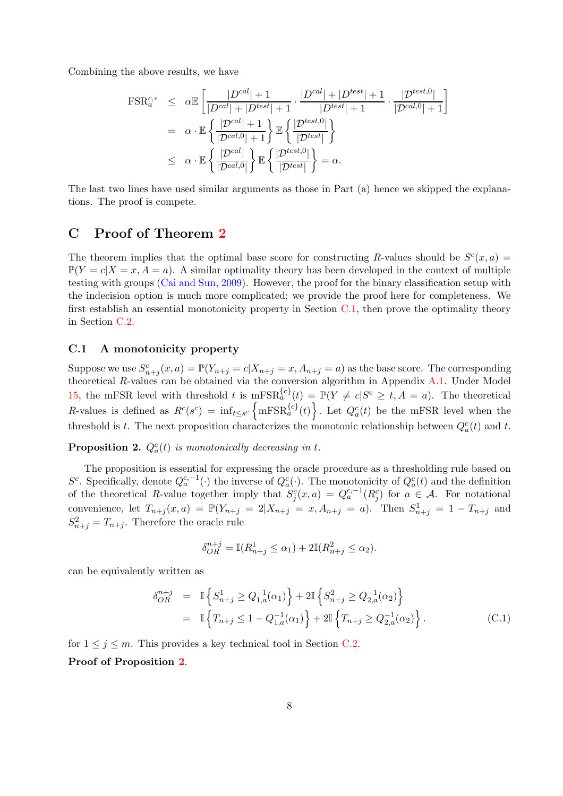Combining the above results, we have

$$
\begin{split} \text{FSR}_{a}^{c,*} &\leq \alpha \mathbb{E} \left[ \frac{|D^{cal}| + 1}{|D^{cal}| + |D^{test}| + 1} \cdot \frac{|D^{cal}| + |D^{test}| + 1}{|D^{test}| + 1} \cdot \frac{|D^{test,0}|}{|D^{cal,0}| + 1} \right] \\ &= \alpha \cdot \mathbb{E} \left\{ \frac{|D^{cal}| + 1}{|D^{cal,0}| + 1} \right\} \mathbb{E} \left\{ \frac{|D^{test,0}|}{|D^{test}|} \right\} \\ &\leq \alpha \cdot \mathbb{E} \left\{ \frac{|D^{cal}|}{|D^{cal,0}|} \right\} \mathbb{E} \left\{ \frac{|D^{test,0}|}{|D^{test}|} \right\} = \alpha. \end{split}
$$

The last two lines have used similar arguments as those in Part (a) hence we skipped the explanations. The proof is compete.

### <span id="page-27-1"></span>C Proof of Theorem [2](#page-11-1)

The theorem implies that the optimal base score for constructing R-values should be  $S<sup>c</sup>(x, a)$  =  $\mathbb{P}(Y=c|X=x, A=a)$ . A similar optimality theory has been developed in the context of multiple testing with groups [\(Cai and Sun, 2009](#page-18-16)). However, the proof for the binary classification setup with the indecision option is much more complicated; we provide the proof here for completeness. We first establish an essential monotonicity property in Section [C.1,](#page-27-0) then prove the optimality theory in Section [C.2.](#page-28-0)

### <span id="page-27-0"></span>C.1 A monotonicity property

Suppose we use  $S_{n+j}^c(x, a) = \mathbb{P}(Y_{n+j} = c | X_{n+j} = x, A_{n+j} = a)$  as the base score. The corresponding theoretical R-values can be obtained via the conversion algorithm in Appendix [A.1.](#page-20-0) Under Model [15,](#page-9-3) the mFSR level with threshold t is  $mFSR_a^{\{c\}}(t) = \mathbb{P}(Y \neq c | S^c \geq t, A = a)$ . The theoretical R-values is defined as  $R^{c}(s^{c}) = \inf_{t \leq s^{c}} \left\{ \text{mFSR}_{a}^{\{c\}}(t) \right\}$ . Let  $Q_{a}^{c}(t)$  be the mFSR level when the threshold is t. The next proposition characterizes the monotonic relationship between  $Q_a^c(t)$  and t.

<span id="page-27-2"></span>**Proposition 2.**  $Q_a^c(t)$  is monotonically decreasing in t.

The proposition is essential for expressing the oracle procedure as a thresholding rule based on S<sup>c</sup>. Specifically, denote  $Q_a^{c,-1}(\cdot)$  the inverse of  $Q_a^c(\cdot)$ . The monotonicity of  $Q_a^c(t)$  and the definition of the theoretical R-value together imply that  $S_j^c(x,a) = Q_a^{c,-1}(R_j^c)$  for  $a \in \mathcal{A}$ . For notational convenience, let  $T_{n+j}(x,a) = \mathbb{P}(Y_{n+j} = 2 | X_{n+j} = x, A_{n+j} = a)$ . Then  $S_{n+j}^1 = 1 - T_{n+j}$  and  $S_{n+j}^2 = T_{n+j}$ . Therefore the oracle rule

$$
\delta_{OR}^{n+j} = \mathbb{I}(R_{n+j}^1 \le \alpha_1) + 2\mathbb{I}(R_{n+j}^2 \le \alpha_2).
$$

can be equivalently written as

$$
\delta_{OR}^{n+j} = \mathbb{I}\left\{S_{n+j}^1 \ge Q_{1,a}^{-1}(\alpha_1)\right\} + 2\mathbb{I}\left\{S_{n+j}^2 \ge Q_{2,a}^{-1}(\alpha_2)\right\}
$$
  
=  $\mathbb{I}\left\{T_{n+j} \le 1 - Q_{1,a}^{-1}(\alpha_1)\right\} + 2\mathbb{I}\left\{T_{n+j} \ge Q_{2,a}^{-1}(\alpha_2)\right\}.$  (C.1)

for  $1 \leq j \leq m$ . This provides a key technical tool in Section [C.2.](#page-28-0) Proof of Proposition [2](#page-27-2).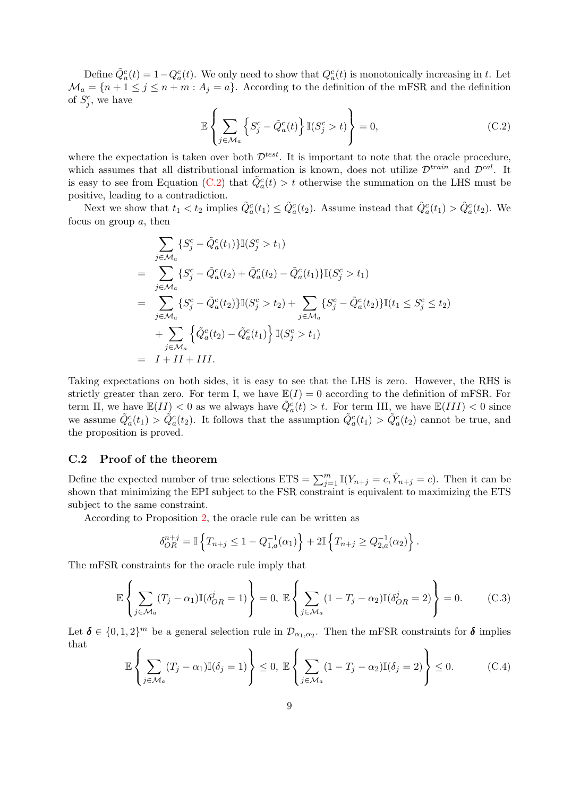Define  $\tilde{Q}_a^c(t) = 1 - Q_a^c(t)$ . We only need to show that  $Q_a^c(t)$  is monotonically increasing in t. Let  $\mathcal{M}_a = \{n+1 \leq j \leq n+m : A_j = a\}.$  According to the definition of the mFSR and the definition of  $S_j^c$ , we have

<span id="page-28-1"></span>
$$
\mathbb{E}\left\{\sum_{j\in\mathcal{M}_a} \left\{S_j^c - \tilde{Q}_a^c(t)\right\} \mathbb{I}(S_j^c > t)\right\} = 0,
$$
\n(C.2)

where the expectation is taken over both  $\mathcal{D}^{test}$ . It is important to note that the oracle procedure, which assumes that all distributional information is known, does not utilize  $\mathcal{D}^{train}$  and  $\mathcal{D}^{cal}$ . It is easy to see from Equation [\(C.2\)](#page-28-1) that  $\tilde{Q}_a^c(t) > t$  otherwise the summation on the LHS must be positive, leading to a contradiction.

Next we show that  $t_1 < t_2$  implies  $\tilde{Q}_a^c(t_1) \leq \tilde{Q}_a^c(t_2)$ . Assume instead that  $\tilde{Q}_a^c(t_1) > \tilde{Q}_a^c(t_2)$ . We focus on group  $a$ , then

$$
\sum_{j \in \mathcal{M}_a} \{ S_j^c - \tilde{Q}_a^c(t_1) \} \mathbb{I}(S_j^c > t_1)
$$
\n
$$
= \sum_{j \in \mathcal{M}_a} \{ S_j^c - \tilde{Q}_a^c(t_2) + \tilde{Q}_a^c(t_2) - \tilde{Q}_a^c(t_1) \} \mathbb{I}(S_j^c > t_1)
$$
\n
$$
= \sum_{j \in \mathcal{M}_a} \{ S_j^c - \tilde{Q}_a^c(t_2) \} \mathbb{I}(S_j^c > t_2) + \sum_{j \in \mathcal{M}_a} \{ S_j^c - \tilde{Q}_a^c(t_2) \} \mathbb{I}(t_1 \leq S_j^c \leq t_2)
$$
\n
$$
+ \sum_{j \in \mathcal{M}_a} \left\{ \tilde{Q}_a^c(t_2) - \tilde{Q}_a^c(t_1) \right\} \mathbb{I}(S_j^c > t_1)
$$
\n
$$
= I + II + III.
$$

Taking expectations on both sides, it is easy to see that the LHS is zero. However, the RHS is strictly greater than zero. For term I, we have  $\mathbb{E}(I) = 0$  according to the definition of mFSR. For term II, we have  $\mathbb{E}(II) < 0$  as we always have  $\tilde{Q}_a^c(t) > t$ . For term III, we have  $\mathbb{E}(III) < 0$  since we assume  $\tilde{Q}_a^c(t_1) > \tilde{Q}_a^c(t_2)$ . It follows that the assumption  $\tilde{Q}_a^c(t_1) > \tilde{Q}_a^c(t_2)$  cannot be true, and the proposition is proved.

### <span id="page-28-0"></span>C.2 Proof of the theorem

Define the expected number of true selections  $ETS = \sum_{j=1}^{m} \mathbb{I}(Y_{n+j} = c, \hat{Y}_{n+j} = c)$ . Then it can be shown that minimizing the EPI subject to the FSR constraint is equivalent to maximizing the ETS subject to the same constraint.

According to Proposition [2,](#page-27-2) the oracle rule can be written as

$$
\delta_{OR}^{n+j} = \mathbb{I}\left\{T_{n+j} \le 1 - Q_{1,a}^{-1}(\alpha_1)\right\} + 2\mathbb{I}\left\{T_{n+j} \ge Q_{2,a}^{-1}(\alpha_2)\right\}.
$$

The mFSR constraints for the oracle rule imply that

<span id="page-28-2"></span>
$$
\mathbb{E}\left\{\sum_{j\in\mathcal{M}_a}(T_j-\alpha_1)\mathbb{I}(\delta_{OR}^j=1)\right\}=0,\ \mathbb{E}\left\{\sum_{j\in\mathcal{M}_a}(1-T_j-\alpha_2)\mathbb{I}(\delta_{OR}^j=2)\right\}=0.\tag{C.3}
$$

Let  $\boldsymbol{\delta} \in \{0,1,2\}^m$  be a general selection rule in  $\mathcal{D}_{\alpha_1,\alpha_2}$ . Then the mFSR constraints for  $\boldsymbol{\delta}$  implies that  $\overline{a}$ 

<span id="page-28-3"></span>
$$
\mathbb{E}\left\{\sum_{j\in\mathcal{M}_a}(T_j-\alpha_1)\mathbb{I}(\delta_j=1)\right\}\leq 0,\ \mathbb{E}\left\{\sum_{j\in\mathcal{M}_a}(1-T_j-\alpha_2)\mathbb{I}(\delta_j=2)\right\}\leq 0.\tag{C.4}
$$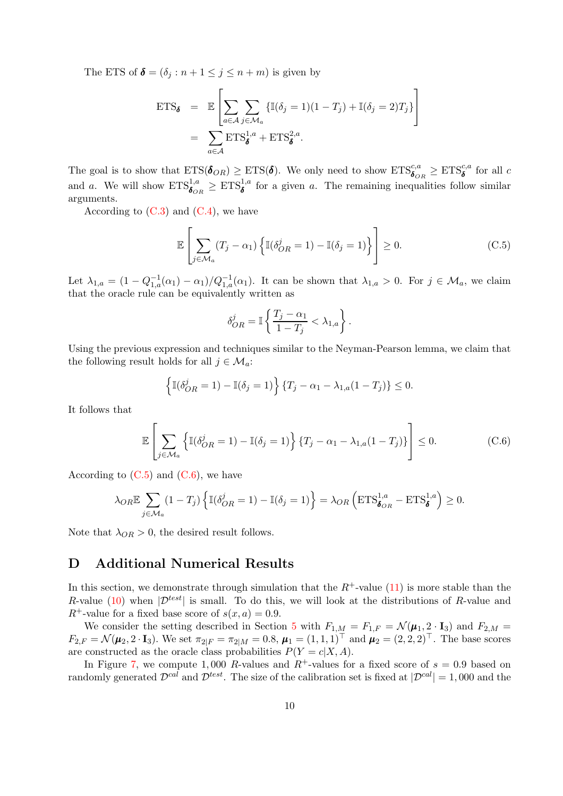The ETS of  $\boldsymbol{\delta} = (\delta_j : n + 1 \leq j \leq n + m)$  is given by

$$
\begin{aligned} \text{ETS}_{\pmb{\delta}} &= \mathbb{E} \left[ \sum_{a \in \mathcal{A}} \sum_{j \in \mathcal{M}_a} \{ \mathbb{I}(\delta_j = 1)(1 - T_j) + \mathbb{I}(\delta_j = 2)T_j \} \right] \\ &= \sum_{a \in \mathcal{A}} \text{ETS}_{\pmb{\delta}}^{1,a} + \text{ETS}_{\pmb{\delta}}^{2,a} .\end{aligned}
$$

The goal is to show that  $ETS(\mathbf{\delta}_{OR}) \geq ETS(\mathbf{\delta})$ . We only need to show  $ETS_{\mathbf{\delta}_{OR}}^{c,a} \geq ETS_{\mathbf{\delta}}^{c,a}$  for all c and a. We will show  $ETS^{1,a}_{\boldsymbol{\delta}_{OR}} \geq ETS^{1,a}_{\boldsymbol{\delta}}$  for a given a. The remaining inequalities follow similar arguments.

According to  $(C.3)$  and  $(C.4)$ , we have

<span id="page-29-1"></span>
$$
\mathbb{E}\left[\sum_{j\in\mathcal{M}_a}(T_j-\alpha_1)\left\{\mathbb{I}(\delta_{OR}^j=1)-\mathbb{I}(\delta_j=1)\right\}\right]\geq 0.
$$
\n(C.5)

Let  $\lambda_{1,a} = (1 - Q_{1,a}^{-1}(\alpha_1) - \alpha_1)/Q_{1,a}^{-1}(\alpha_1)$ . It can be shown that  $\lambda_{1,a} > 0$ . For  $j \in \mathcal{M}_a$ , we claim that the oracle rule can be equivalently written as

$$
\delta_{OR}^j = \mathbb{I}\left\{\frac{T_j - \alpha_1}{1 - T_j} < \lambda_{1,a}\right\}.
$$

Using the previous expression and techniques similar to the Neyman-Pearson lemma, we claim that the following result holds for all  $j \in \mathcal{M}_a$ :

$$
\left\{ \mathbb{I}(\delta_{OR}^j = 1) - \mathbb{I}(\delta_j = 1) \right\} \{ T_j - \alpha_1 - \lambda_{1,a} (1 - T_j) \} \le 0.
$$

It follows that

<span id="page-29-2"></span>
$$
\mathbb{E}\left[\sum_{j\in\mathcal{M}_a} \left\{\mathbb{I}(\delta_{OR}^j=1) - \mathbb{I}(\delta_j=1)\right\} \{T_j - \alpha_1 - \lambda_{1,a}(1-T_j)\}\right] \le 0. \tag{C.6}
$$

According to  $(C.5)$  and  $(C.6)$ , we have

$$
\lambda_{OR} \mathbb{E} \sum_{j \in \mathcal{M}_a} (1 - T_j) \left\{ \mathbb{I}(\delta_{OR}^j = 1) - \mathbb{I}(\delta_j = 1) \right\} = \lambda_{OR} \left( \mathrm{ETS}_{\pmb{\delta}_{OR}}^{1,a} - \mathrm{ETS}_{\pmb{\delta}}^{1,a} \right) \ge 0.
$$

Note that  $\lambda_{OR} > 0$ , the desired result follows.

### <span id="page-29-0"></span>D Additional Numerical Results

In this section, we demonstrate through simulation that the  $R^+$ -value [\(11\)](#page-6-1) is more stable than the R-value [\(10\)](#page-6-2) when  $|\mathcal{D}^{test}|$  is small. To do this, we will look at the distributions of R-value and  $R^+$ -value for a fixed base score of  $s(x, a) = 0.9$ .

We consider the setting described in Section [5](#page-11-0) with  $F_{1,M} = F_{1,F} = \mathcal{N}(\mu_1, 2 \cdot I_3)$  and  $F_{2,M} =$  $F_{2,F} = \mathcal{N}(\mu_2, 2 \cdot I_3)$ . We set  $\pi_{2|F} = \pi_{2|M} = 0.8$ ,  $\mu_1 = (1, 1, 1)^\top$  and  $\mu_2 = (2, 2, 2)^\top$ . The base scores are constructed as the oracle class probabilities  $P(Y = c|X, A)$ .

In Figure [7,](#page-30-0) we compute 1,000 R-values and  $R^+$ -values for a fixed score of  $s = 0.9$  based on randomly generated  $\mathcal{D}^{cal}$  and  $\mathcal{D}^{test}$ . The size of the calibration set is fixed at  $|\mathcal{D}^{cal}| = 1,000$  and the